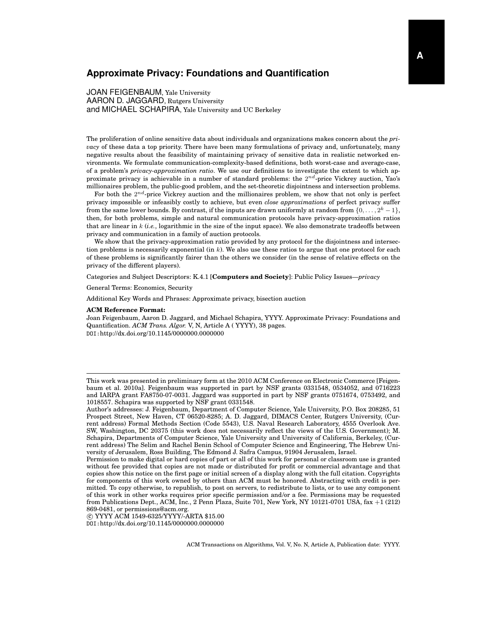# **Approximate Privacy: Foundations and Quantification**

JOAN FEIGENBAUM, Yale University AARON D. JAGGARD, Rutgers University and MICHAEL SCHAPIRA, Yale University and UC Berkeley

The proliferation of online sensitive data about individuals and organizations makes concern about the *privacy* of these data a top priority. There have been many formulations of privacy and, unfortunately, many negative results about the feasibility of maintaining privacy of sensitive data in realistic networked environments. We formulate communication-complexity-based definitions, both worst-case and average-case, of a problem's *privacy-approximation ratio*. We use our definitions to investigate the extent to which approximate privacy is achievable in a number of standard problems: the  $2^{nd}$ -price Vickrey auction, Yao's millionaires problem, the public-good problem, and the set-theoretic disjointness and intersection problems.

For both the  $2^{nd}$ -price Vickrey auction and the millionaires problem, we show that not only is perfect privacy impossible or infeasibly costly to achieve, but even *close approximations* of perfect privacy suffer from the same lower bounds. By contrast, if the inputs are drawn uniformly at random from  $\{0, \ldots, 2^k-1\}$ , then, for both problems, simple and natural communication protocols have privacy-approximation ratios that are linear in k (*i.e.*, logarithmic in the size of the input space). We also demonstrate tradeoffs between privacy and communication in a family of auction protocols.

We show that the privacy-approximation ratio provided by any protocol for the disjointness and intersection problems is necessarily exponential (in  $k$ ). We also use these ratios to argue that one protocol for each of these problems is significantly fairer than the others we consider (in the sense of relative effects on the privacy of the different players).

Categories and Subject Descriptors: K.4.1 [**Computers and Society**]: Public Policy Issues—*privacy*

General Terms: Economics, Security

Additional Key Words and Phrases: Approximate privacy, bisection auction

#### **ACM Reference Format:**

Joan Feigenbaum, Aaron D. Jaggard, and Michael Schapira, YYYY. Approximate Privacy: Foundations and Quantification. *ACM Trans. Algor.* V, N, Article A ( YYYY), 38 pages. DOI:http://dx.doi.org/10.1145/0000000.0000000

 c YYYY ACM 1549-6325/YYYY/-ARTA \$15.00 DOI:http://dx.doi.org/10.1145/0000000.0000000

This work was presented in preliminary form at the 2010 ACM Conference on Electronic Commerce [Feigenbaum et al. 2010a]. Feigenbaum was supported in part by NSF grants 0331548, 0534052, and 0716223 and IARPA grant FA8750-07-0031. Jaggard was supported in part by NSF grants 0751674, 0753492, and 1018557. Schapira was supported by NSF grant 0331548.

Author's addresses: J. Feigenbaum, Department of Computer Science, Yale University, P.O. Box 208285, 51 Prospect Street, New Haven, CT 06520-8285; A. D. Jaggard, DIMACS Center, Rutgers University, (Current address) Formal Methods Section (Code 5543), U.S. Naval Research Laboratory, 4555 Overlook Ave. SW, Washington, DC 20375 (this work does not necessarily reflect the views of the U.S. Government); M. Schapira, Departments of Computer Science, Yale University and University of California, Berkeley, (Current address) The Selim and Rachel Benin School of Computer Science and Engineering, The Hebrew University of Jerusalem, Ross Building, The Edmond J. Safra Campus, 91904 Jerusalem, Israel.

Permission to make digital or hard copies of part or all of this work for personal or classroom use is granted without fee provided that copies are not made or distributed for profit or commercial advantage and that copies show this notice on the first page or initial screen of a display along with the full citation. Copyrights for components of this work owned by others than ACM must be honored. Abstracting with credit is permitted. To copy otherwise, to republish, to post on servers, to redistribute to lists, or to use any component of this work in other works requires prior specific permission and/or a fee. Permissions may be requested from Publications Dept., ACM, Inc., 2 Penn Plaza, Suite 701, New York, NY 10121-0701 USA, fax +1 (212) 869-0481, or permissions@acm.org.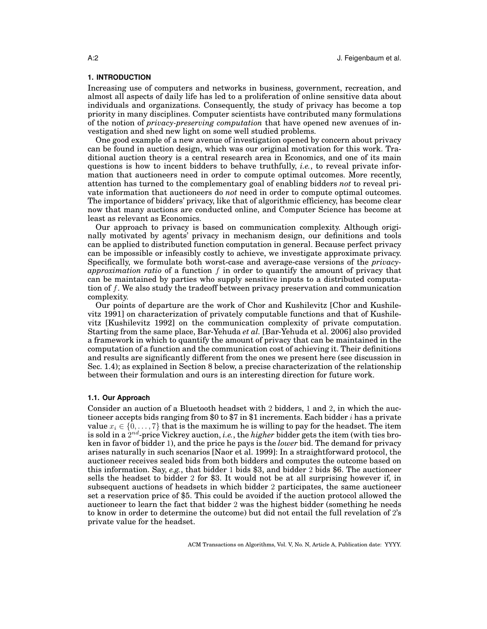## **1. INTRODUCTION**

Increasing use of computers and networks in business, government, recreation, and almost all aspects of daily life has led to a proliferation of online sensitive data about individuals and organizations. Consequently, the study of privacy has become a top priority in many disciplines. Computer scientists have contributed many formulations of the notion of *privacy-preserving computation* that have opened new avenues of investigation and shed new light on some well studied problems.

One good example of a new avenue of investigation opened by concern about privacy can be found in auction design, which was our original motivation for this work. Traditional auction theory is a central research area in Economics, and one of its main questions is how to incent bidders to behave truthfully, *i.e.*, to reveal private information that auctioneers need in order to compute optimal outcomes. More recently, attention has turned to the complementary goal of enabling bidders *not* to reveal private information that auctioneers do *not* need in order to compute optimal outcomes. The importance of bidders' privacy, like that of algorithmic efficiency, has become clear now that many auctions are conducted online, and Computer Science has become at least as relevant as Economics.

Our approach to privacy is based on communication complexity. Although originally motivated by agents' privacy in mechanism design, our definitions and tools can be applied to distributed function computation in general. Because perfect privacy can be impossible or infeasibly costly to achieve, we investigate approximate privacy. Specifically, we formulate both worst-case and average-case versions of the *privacyapproximation ratio* of a function f in order to quantify the amount of privacy that can be maintained by parties who supply sensitive inputs to a distributed computation of f. We also study the tradeoff between privacy preservation and communication complexity.

Our points of departure are the work of Chor and Kushilevitz [Chor and Kushilevitz 1991] on characterization of privately computable functions and that of Kushilevitz [Kushilevitz 1992] on the communication complexity of private computation. Starting from the same place, Bar-Yehuda *et al.* [Bar-Yehuda et al. 2006] also provided a framework in which to quantify the amount of privacy that can be maintained in the computation of a function and the communication cost of achieving it. Their definitions and results are significantly different from the ones we present here (see discussion in Sec. 1.4); as explained in Section 8 below, a precise characterization of the relationship between their formulation and ours is an interesting direction for future work.

### **1.1. Our Approach**

Consider an auction of a Bluetooth headset with 2 bidders, 1 and 2, in which the auctioneer accepts bids ranging from \$0 to \$7 in \$1 increments. Each bidder  $i$  has a private value  $x_i \in \{0, \ldots, 7\}$  that is the maximum he is willing to pay for the headset. The item is sold in a  $2^{nd}$ -price Vickrey auction, *i.e.*, the *higher* bidder gets the item (with ties broken in favor of bidder 1), and the price he pays is the *lower* bid. The demand for privacy arises naturally in such scenarios [Naor et al. 1999]: In a straightforward protocol, the auctioneer receives sealed bids from both bidders and computes the outcome based on this information. Say, *e.g.*, that bidder 1 bids \$3, and bidder 2 bids \$6. The auctioneer sells the headset to bidder 2 for \$3. It would not be at all surprising however if, in subsequent auctions of headsets in which bidder 2 participates, the same auctioneer set a reservation price of \$5. This could be avoided if the auction protocol allowed the auctioneer to learn the fact that bidder 2 was the highest bidder (something he needs to know in order to determine the outcome) but did not entail the full revelation of 2's private value for the headset.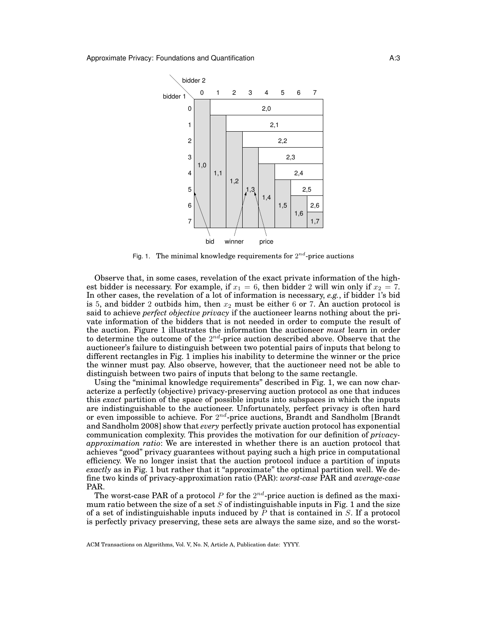

Fig. 1. The minimal knowledge requirements for  $2^{nd}$ -price auctions

Observe that, in some cases, revelation of the exact private information of the highest bidder is necessary. For example, if  $x_1 = 6$ , then bidder 2 will win only if  $x_2 = 7$ . In other cases, the revelation of a lot of information is necessary, *e.g.*, if bidder 1's bid is 5, and bidder 2 outbids him, then  $x_2$  must be either 6 or 7. An auction protocol is said to achieve *perfect objective privacy* if the auctioneer learns nothing about the private information of the bidders that is not needed in order to compute the result of the auction. Figure 1 illustrates the information the auctioneer *must* learn in order to determine the outcome of the  $2^{nd}$ -price auction described above. Observe that the auctioneer's failure to distinguish between two potential pairs of inputs that belong to different rectangles in Fig. 1 implies his inability to determine the winner or the price the winner must pay. Also observe, however, that the auctioneer need not be able to distinguish between two pairs of inputs that belong to the same rectangle.

Using the "minimal knowledge requirements" described in Fig. 1, we can now characterize a perfectly (objective) privacy-preserving auction protocol as one that induces this *exact* partition of the space of possible inputs into subspaces in which the inputs are indistinguishable to the auctioneer. Unfortunately, perfect privacy is often hard or even impossible to achieve. For  $2^{nd}$ -price auctions, Brandt and Sandholm [Brandt and Sandholm 2008] show that *every* perfectly private auction protocol has exponential communication complexity. This provides the motivation for our definition of *privacyapproximation ratio*: We are interested in whether there is an auction protocol that achieves "good" privacy guarantees without paying such a high price in computational efficiency. We no longer insist that the auction protocol induce a partition of inputs *exactly* as in Fig. 1 but rather that it "approximate" the optimal partition well. We define two kinds of privacy-approximation ratio (PAR): *worst-case* PAR and *average-case* PAR.

The worst-case PAR of a protocol P for the  $2^{nd}$ -price auction is defined as the maximum ratio between the size of a set  $S$  of indistinguishable inputs in Fig. 1 and the size of a set of indistinguishable inputs induced by  $P$  that is contained in  $S$ . If a protocol is perfectly privacy preserving, these sets are always the same size, and so the worst-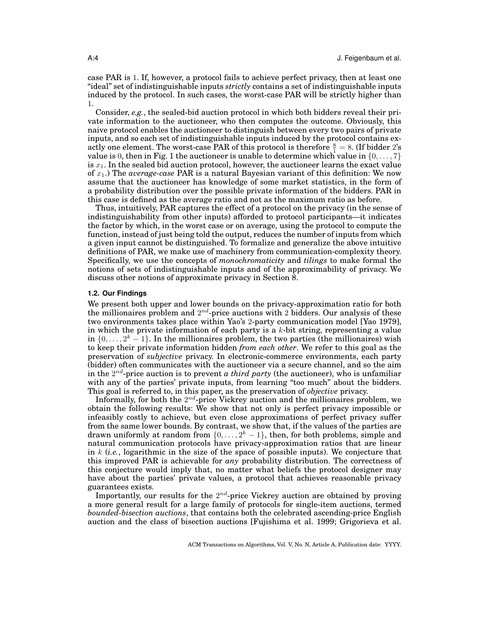case PAR is 1. If, however, a protocol fails to achieve perfect privacy, then at least one "ideal" set of indistinguishable inputs *strictly* contains a set of indistinguishable inputs induced by the protocol. In such cases, the worst-case PAR will be strictly higher than 1.

Consider, *e.g.*, the sealed-bid auction protocol in which both bidders reveal their private information to the auctioneer, who then computes the outcome. Obviously, this naive protocol enables the auctioneer to distinguish between every two pairs of private inputs, and so each set of indistinguishable inputs induced by the protocol contains exactly one element. The worst-case PAR of this protocol is therefore  $\frac{8}{1} = 8$ . (If bidder 2's value is 0, then in Fig. 1 the auctioneer is unable to determine which value in  $\{0, \ldots, 7\}$ is  $x_1$ . In the sealed bid auction protocol, however, the auctioneer learns the exact value of x1.) The *average-case* PAR is a natural Bayesian variant of this definition: We now assume that the auctioneer has knowledge of some market statistics, in the form of a probability distribution over the possible private information of the bidders. PAR in this case is defined as the average ratio and not as the maximum ratio as before.

Thus, intuitively, PAR captures the effect of a protocol on the privacy (in the sense of indistinguishability from other inputs) afforded to protocol participants—it indicates the factor by which, in the worst case or on average, using the protocol to compute the function, instead of just being told the output, reduces the number of inputs from which a given input cannot be distinguished. To formalize and generalize the above intuitive definitions of PAR, we make use of machinery from communication-complexity theory. Specifically, we use the concepts of *monochromaticity* and *tilings* to make formal the notions of sets of indistinguishable inputs and of the approximability of privacy. We discuss other notions of approximate privacy in Section 8.

## **1.2. Our Findings**

We present both upper and lower bounds on the privacy-approximation ratio for both the millionaires problem and  $2^{nd}$ -price auctions with 2 bidders. Our analysis of these two environments takes place within Yao's 2-party communication model [Yao 1979], in which the private information of each party is a  $k$ -bit string, representing a value in  $\{0, \ldots, 2^k-1\}$ . In the millionaires problem, the two parties (the millionaires) wish to keep their private information hidden *from each other*. We refer to this goal as the preservation of *subjective* privacy. In electronic-commerce environments, each party (bidder) often communicates with the auctioneer via a secure channel, and so the aim in the  $2^{nd}$ -price auction is to prevent *a third party* (the auctioneer), who is unfamiliar with any of the parties' private inputs, from learning "too much" about the bidders. This goal is referred to, in this paper, as the preservation of *objective* privacy.

Informally, for both the  $2^{nd}$ -price Vickrey auction and the millionaires problem, we obtain the following results: We show that not only is perfect privacy impossible or infeasibly costly to achieve, but even close approximations of perfect privacy suffer from the same lower bounds. By contrast, we show that, if the values of the parties are drawn uniformly at random from  $\{0, \ldots, 2^k-1\}$ , then, for both problems, simple and natural communication protocols have privacy-approximation ratios that are linear in k (*i.e.*, logarithmic in the size of the space of possible inputs). We conjecture that this improved PAR is achievable for *any* probability distribution. The correctness of this conjecture would imply that, no matter what beliefs the protocol designer may have about the parties' private values, a protocol that achieves reasonable privacy guarantees exists.

Importantly, our results for the  $2^{nd}$ -price Vickrey auction are obtained by proving a more general result for a large family of protocols for single-item auctions, termed *bounded-bisection auctions*, that contains both the celebrated ascending-price English auction and the class of bisection auctions [Fujishima et al. 1999; Grigorieva et al.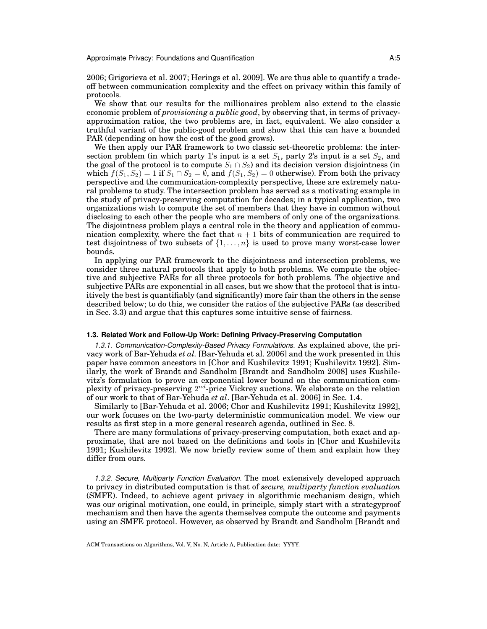Approximate Privacy: Foundations and Quantification A:5

2006; Grigorieva et al. 2007; Herings et al. 2009]. We are thus able to quantify a tradeoff between communication complexity and the effect on privacy within this family of protocols.

We show that our results for the millionaires problem also extend to the classic economic problem of *provisioning a public good*, by observing that, in terms of privacyapproximation ratios, the two problems are, in fact, equivalent. We also consider a truthful variant of the public-good problem and show that this can have a bounded PAR (depending on how the cost of the good grows).

We then apply our PAR framework to two classic set-theoretic problems: the intersection problem (in which party 1's input is a set  $S_1$ , party 2's input is a set  $S_2$ , and the goal of the protocol is to compute  $S_1 \cap S_2$ ) and its decision version disjointness (in which  $f(S_1, S_2) = 1$  if  $S_1 \cap S_2 = \emptyset$ , and  $f(S_1, S_2) = 0$  otherwise). From both the privacy perspective and the communication-complexity perspective, these are extremely natural problems to study. The intersection problem has served as a motivating example in the study of privacy-preserving computation for decades; in a typical application, two organizations wish to compute the set of members that they have in common without disclosing to each other the people who are members of only one of the organizations. The disjointness problem plays a central role in the theory and application of communication complexity, where the fact that  $n + 1$  bits of communication are required to test disjointness of two subsets of  $\{1, \ldots, n\}$  is used to prove many worst-case lower bounds.

In applying our PAR framework to the disjointness and intersection problems, we consider three natural protocols that apply to both problems. We compute the objective and subjective PARs for all three protocols for both problems. The objective and subjective PARs are exponential in all cases, but we show that the protocol that is intuitively the best is quantifiably (and significantly) more fair than the others in the sense described below; to do this, we consider the ratios of the subjective PARs (as described in Sec. 3.3) and argue that this captures some intuitive sense of fairness.

### **1.3. Related Work and Follow-Up Work: Defining Privacy-Preserving Computation**

*1.3.1. Communication-Complexity-Based Privacy Formulations.* As explained above, the privacy work of Bar-Yehuda *et al.* [Bar-Yehuda et al. 2006] and the work presented in this paper have common ancestors in [Chor and Kushilevitz 1991; Kushilevitz 1992]. Similarly, the work of Brandt and Sandholm [Brandt and Sandholm 2008] uses Kushilevitz's formulation to prove an exponential lower bound on the communication complexity of privacy-preserving  $2^{nd}$ -price Vickrey auctions. We elaborate on the relation of our work to that of Bar-Yehuda *et al*. [Bar-Yehuda et al. 2006] in Sec. 1.4.

Similarly to [Bar-Yehuda et al. 2006; Chor and Kushilevitz 1991; Kushilevitz 1992], our work focuses on the two-party deterministic communication model. We view our results as first step in a more general research agenda, outlined in Sec. 8.

There are many formulations of privacy-preserving computation, both exact and approximate, that are not based on the definitions and tools in [Chor and Kushilevitz 1991; Kushilevitz 1992]. We now briefly review some of them and explain how they differ from ours.

*1.3.2. Secure, Multiparty Function Evaluation.* The most extensively developed approach to privacy in distributed computation is that of *secure, multiparty function evaluation* (SMFE). Indeed, to achieve agent privacy in algorithmic mechanism design, which was our original motivation, one could, in principle, simply start with a strategyproof mechanism and then have the agents themselves compute the outcome and payments using an SMFE protocol. However, as observed by Brandt and Sandholm [Brandt and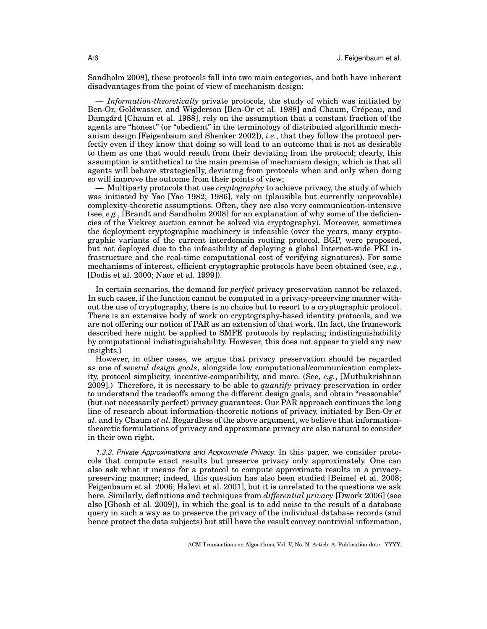Sandholm 2008], these protocols fall into two main categories, and both have inherent disadvantages from the point of view of mechanism design:

— *Information-theoretically* private protocols, the study of which was initiated by Ben-Or, Goldwasser, and Wigderson [Ben-Or et al. 1988] and Chaum, Crépeau, and Damgård [Chaum et al. 1988], rely on the assumption that a constant fraction of the agents are "honest" (or "obedient" in the terminology of distributed algorithmic mechanism design [Feigenbaum and Shenker 2002]), *i.e.*, that they follow the protocol perfectly even if they know that doing so will lead to an outcome that is not as desirable to them as one that would result from their deviating from the protocol; clearly, this assumption is antithetical to the main premise of mechanism design, which is that all agents will behave strategically, deviating from protocols when and only when doing so will improve the outcome from their points of view;

— Multiparty protocols that use *cryptography* to achieve privacy, the study of which was initiated by Yao [Yao 1982; 1986], rely on (plausible but currently unprovable) complexity-theoretic assumptions. Often, they are also very communication-intensive (see, *e.g.*, [Brandt and Sandholm 2008] for an explanation of why some of the deficiencies of the Vickrey auction cannot be solved via cryptography). Moreover, sometimes the deployment cryptographic machinery is infeasible (over the years, many cryptographic variants of the current interdomain routing protocol, BGP, were proposed, but not deployed due to the infeasibility of deploying a global Internet-wide PKI infrastructure and the real-time computational cost of verifying signatures). For some mechanisms of interest, efficient cryptographic protocols have been obtained (see, *e.g.*, [Dodis et al. 2000; Naor et al. 1999]).

In certain scenarios, the demand for *perfect* privacy preservation cannot be relaxed. In such cases, if the function cannot be computed in a privacy-preserving manner without the use of cryptography, there is no choice but to resort to a cryptographic protocol. There is an extensive body of work on cryptography-based identity protocols, and we are not offering our notion of PAR as an extension of that work. (In fact, the framework described here might be applied to SMFE protocols by replacing indistinguishability by computational indistinguishability. However, this does not appear to yield any new insights.)

However, in other cases, we argue that privacy preservation should be regarded as one of *several design goals*, alongside low computational/communication complexity, protocol simplicity, incentive-compatibility, and more. (See, *e.g.*, [Muthukrishnan 2009].) Therefore, it is necessary to be able to *quantify* privacy preservation in order to understand the tradeoffs among the different design goals, and obtain "reasonable" (but not necessarily perfect) privacy guarantees. Our PAR approach continues the long line of research about information-theoretic notions of privacy, initiated by Ben-Or *et al*. and by Chaum *et al*. Regardless of the above argument, we believe that informationtheoretic formulations of privacy and approximate privacy are also natural to consider in their own right.

*1.3.3. Private Approximations and Approximate Privacy.* In this paper, we consider protocols that compute exact results but preserve privacy only approximately. One can also ask what it means for a protocol to compute approximate results in a privacypreserving manner; indeed, this question has also been studied [Beimel et al. 2008; Feigenbaum et al. 2006; Halevi et al. 2001], but it is unrelated to the questions we ask here. Similarly, definitions and techniques from *differential privacy* [Dwork 2006] (see also [Ghosh et al. 2009]), in which the goal is to add noise to the result of a database query in such a way as to preserve the privacy of the individual database records (and hence protect the data subjects) but still have the result convey nontrivial information,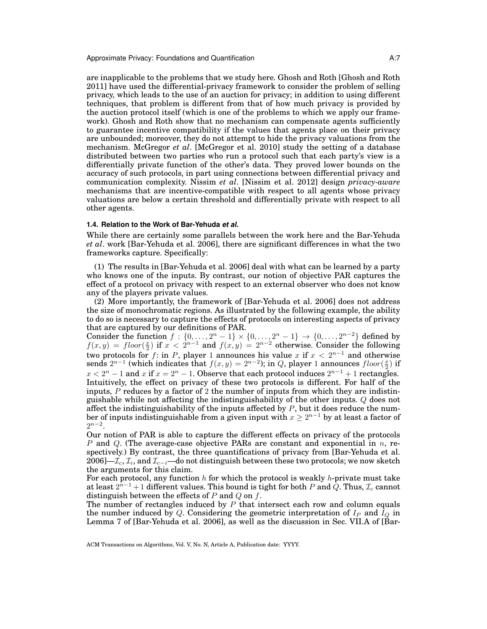Approximate Privacy: Foundations and Quantification A:7

are inapplicable to the problems that we study here. Ghosh and Roth [Ghosh and Roth 2011] have used the differential-privacy framework to consider the problem of selling privacy, which leads to the use of an auction for privacy; in addition to using different techniques, that problem is different from that of how much privacy is provided by the auction protocol itself (which is one of the problems to which we apply our framework). Ghosh and Roth show that no mechanism can compensate agents sufficiently to guarantee incentive compatibility if the values that agents place on their privacy are unbounded; moreover, they do not attempt to hide the privacy valuations from the mechanism. McGregor *et al*. [McGregor et al. 2010] study the setting of a database distributed between two parties who run a protocol such that each party's view is a differentially private function of the other's data. They proved lower bounds on the accuracy of such protocols, in part using connections between differential privacy and communication complexity. Nissim *et al*. [Nissim et al. 2012] design *privacy-aware* mechanisms that are incentive-compatible with respect to all agents whose privacy valuations are below a certain threshold and differentially private with respect to all other agents.

### **1.4. Relation to the Work of Bar-Yehuda** *et al.*

While there are certainly some parallels between the work here and the Bar-Yehuda *et al*. work [Bar-Yehuda et al. 2006], there are significant differences in what the two frameworks capture. Specifically:

(1) The results in [Bar-Yehuda et al. 2006] deal with what can be learned by a party who knows one of the inputs. By contrast, our notion of objective PAR captures the effect of a protocol on privacy with respect to an external observer who does not know any of the players private values.

(2) More importantly, the framework of [Bar-Yehuda et al. 2006] does not address the size of monochromatic regions. As illustrated by the following example, the ability to do so is necessary to capture the effects of protocols on interesting aspects of privacy that are captured by our definitions of PAR.

Consider the function  $f: \{0, ..., 2^n - 1\} \times \{0, ..., 2^n - 1\} \to \{0, ..., 2^{n-2}\}$  defined by  $f(x,y) = floor(\frac{x}{2})$  if  $x < 2^{n-1}$  and  $f(x,y) = 2^{n-2}$  otherwise. Consider the following two protocols for f: in P, player 1 announces his value x if  $x < 2^{n-1}$  and otherwise sends  $2^{n-1}$  (which indicates that  $f(x,y) = 2^{n-2}$ ); in Q, player 1 announces  $floor(\frac{x}{2})$  if  $x < 2^n - 1$  and x if  $x = 2^n - 1$ . Observe that each protocol induces  $2^{n-1} + 1$  rectangles. Intuitively, the effect on privacy of these two protocols is different. For half of the inputs,  $P$  reduces by a factor of 2 the number of inputs from which they are indistinguishable while not affecting the indistinguishability of the other inputs. Q does not affect the indistinguishability of the inputs affected by  $P$ , but it does reduce the number of inputs indistinguishable from a given input with  $x \geq 2^{n-1}$  by at least a factor of  $2^{n-2}$ .

Our notion of PAR is able to capture the different effects on privacy of the protocols P and Q. (The average-case objective PARs are constant and exponential in  $n$ , respectively.) By contrast, the three quantifications of privacy from [Bar-Yehuda et al. 2006]— $\mathcal{I}_c$ ,  $\mathcal{I}_i$ , and  $\mathcal{I}_{c-i}$ —do not distinguish between these two protocols; we now sketch the arguments for this claim.

For each protocol, any function  $h$  for which the protocol is weakly  $h$ -private must take at least  $2^{\tilde n-1}+1$  different values. This bound is tight for both  $P$  and  $\tilde Q.$  Thus,  $\mathcal I_c$  cannot distinguish between the effects of  $P$  and  $Q$  on  $f$ .

The number of rectangles induced by  $P$  that intersect each row and column equals the number induced by Q. Considering the geometric interpretation of  $I_P$  and  $I_Q$  in Lemma 7 of [Bar-Yehuda et al. 2006], as well as the discussion in Sec. VII.A of [Bar-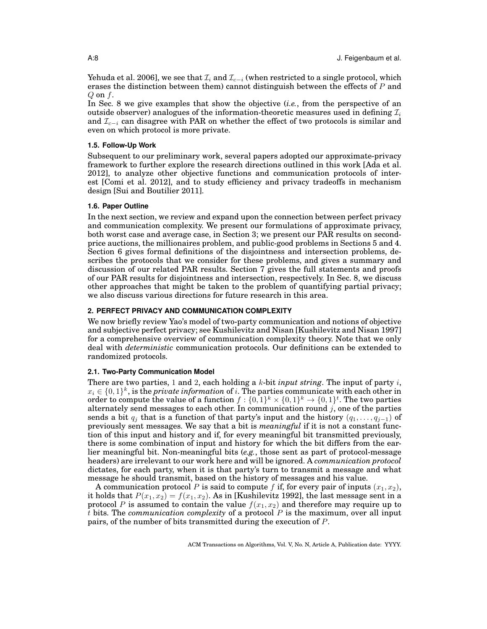Yehuda et al. 2006], we see that  $\mathcal{I}_i$  and  $\mathcal{I}_{c-i}$  (when restricted to a single protocol, which erases the distinction between them) cannot distinguish between the effects of  $P$  and  $Q$  on  $f$ .

In Sec. 8 we give examples that show the objective (*i.e.*, from the perspective of an outside observer) analogues of the information-theoretic measures used in defining  $\mathcal{I}_i$ and  $\mathcal{I}_{c-i}$  can disagree with PAR on whether the effect of two protocols is similar and even on which protocol is more private.

## **1.5. Follow-Up Work**

Subsequent to our preliminary work, several papers adopted our approximate-privacy framework to further explore the research directions outlined in this work [Ada et al. 2012], to analyze other objective functions and communication protocols of interest [Comi et al. 2012], and to study efficiency and privacy tradeoffs in mechanism design [Sui and Boutilier 2011].

### **1.6. Paper Outline**

In the next section, we review and expand upon the connection between perfect privacy and communication complexity. We present our formulations of approximate privacy, both worst case and average case, in Section 3; we present our PAR results on secondprice auctions, the millionaires problem, and public-good problems in Sections 5 and 4. Section 6 gives formal definitions of the disjointness and intersection problems, describes the protocols that we consider for these problems, and gives a summary and discussion of our related PAR results. Section 7 gives the full statements and proofs of our PAR results for disjointness and intersection, respectively. In Sec. 8, we discuss other approaches that might be taken to the problem of quantifying partial privacy; we also discuss various directions for future research in this area.

# **2. PERFECT PRIVACY AND COMMUNICATION COMPLEXITY**

We now briefly review Yao's model of two-party communication and notions of objective and subjective perfect privacy; see Kushilevitz and Nisan [Kushilevitz and Nisan 1997] for a comprehensive overview of communication complexity theory. Note that we only deal with *deterministic* communication protocols. Our definitions can be extended to randomized protocols.

## **2.1. Two-Party Communication Model**

There are two parties, 1 and 2, each holding a  $k$ -bit *input string*. The input of party  $i$ ,  $x_i \in \{0,1\}^k,$  is the *private information* of  $i.$  The parties communicate with each other in order to compute the value of a function  $f: \{0,1\}^k \times \{0,1\}^k \to \{0,1\}^t$ . The two parties alternately send messages to each other. In communication round  $j$ , one of the parties sends a bit  $q_j$  that is a function of that party's input and the history  $(q_1, \ldots, q_{j-1})$  of previously sent messages. We say that a bit is *meaningful* if it is not a constant function of this input and history and if, for every meaningful bit transmitted previously, there is some combination of input and history for which the bit differs from the earlier meaningful bit. Non-meaningful bits (*e.g.*, those sent as part of protocol-message headers) are irrelevant to our work here and will be ignored. A *communication protocol* dictates, for each party, when it is that party's turn to transmit a message and what message he should transmit, based on the history of messages and his value.

A communication protocol P is said to compute f if, for every pair of inputs  $(x_1, x_2)$ , it holds that  $P(x_1, x_2) = f(x_1, x_2)$ . As in [Kushilevitz 1992], the last message sent in a protocol P is assumed to contain the value  $f(x_1, x_2)$  and therefore may require up to t bits. The *communication complexity* of a protocol P is the maximum, over all input pairs, of the number of bits transmitted during the execution of P.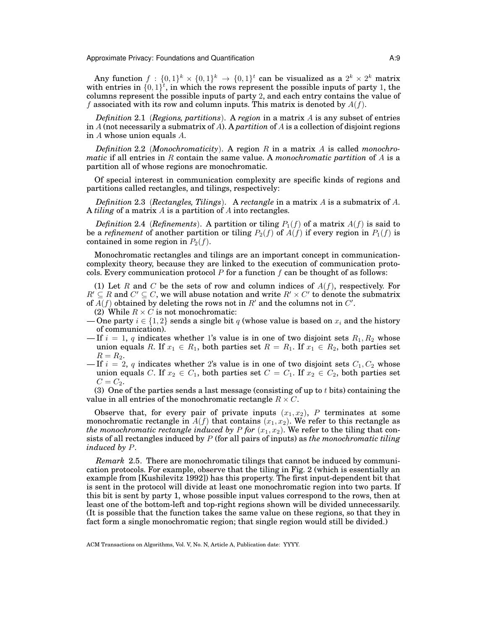Approximate Privacy: Foundations and Quantification A:9

Any function  $f: \{0,1\}^k \times \{0,1\}^k \rightarrow \{0,1\}^t$  can be visualized as a  $2^k \times 2^k$  matrix with entries in  $\{0,1\}^t$ , in which the rows represent the possible inputs of party 1, the columns represent the possible inputs of party 2, and each entry contains the value of f associated with its row and column inputs. This matrix is denoted by  $A(f)$ .

*Definition* 2.1 (*Regions, partitions*). A *region* in a matrix A is any subset of entries in A (not necessarily a submatrix of A). A *partition* of A is a collection of disjoint regions in A whose union equals A.

*Definition* 2.2 (*Monochromaticity*). A region R in a matrix A is called *monochromatic* if all entries in R contain the same value. A *monochromatic partition* of A is a partition all of whose regions are monochromatic.

Of special interest in communication complexity are specific kinds of regions and partitions called rectangles, and tilings, respectively:

*Definition* 2.3 (*Rectangles, Tilings*). A *rectangle* in a matrix A is a submatrix of A. A *tiling* of a matrix A is a partition of A into rectangles.

*Definition* 2.4 (*Refinements*). A partition or tiling  $P_1(f)$  of a matrix  $A(f)$  is said to be a *refinement* of another partition or tiling  $P_2(f)$  of  $A(f)$  if every region in  $P_1(f)$  is contained in some region in  $P_2(f)$ .

Monochromatic rectangles and tilings are an important concept in communicationcomplexity theory, because they are linked to the execution of communication protocols. Every communication protocol  $P$  for a function  $f$  can be thought of as follows:

(1) Let R and C be the sets of row and column indices of  $A(f)$ , respectively. For  $R' \subseteq R$  and  $C' \subseteq C$ , we will abuse notation and write  $R' \times C'$  to denote the submatrix of  $A(f)$  obtained by deleting the rows not in  $R'$  and the columns not in  $C'$ .

(2) While  $R \times C$  is not monochromatic:

- One party  $i \in \{1,2\}$  sends a single bit q (whose value is based on  $x_i$  and the history of communication).
- If  $i = 1$ , q indicates whether 1's value is in one of two disjoint sets  $R_1, R_2$  whose union equals R. If  $x_1 \in R_1$ , both parties set  $R = R_1$ . If  $x_1 \in R_2$ , both parties set  $R = R_2$ .
- If  $i = 2$ , q indicates whether 2's value is in one of two disjoint sets  $C_1, C_2$  whose union equals C. If  $x_2 \in C_1$ , both parties set  $C = C_1$ . If  $x_2 \in C_2$ , both parties set  $C = C_2$ .

(3) One of the parties sends a last message (consisting of up to  $t$  bits) containing the value in all entries of the monochromatic rectangle  $R \times C$ .

Observe that, for every pair of private inputs  $(x_1, x_2)$ , P terminates at some monochromatic rectangle in  $A(f)$  that contains  $(x_1, x_2)$ . We refer to this rectangle as *the monochromatic rectangle induced by* P *for*  $(x_1, x_2)$ . We refer to the tiling that consists of all rectangles induced by P (for all pairs of inputs) as *the monochromatic tiling induced by* P.

*Remark* 2.5. There are monochromatic tilings that cannot be induced by communication protocols. For example, observe that the tiling in Fig. 2 (which is essentially an example from [Kushilevitz 1992]) has this property. The first input-dependent bit that is sent in the protocol will divide at least one monochromatic region into two parts. If this bit is sent by party 1, whose possible input values correspond to the rows, then at least one of the bottom-left and top-right regions shown will be divided unnecessarily. (It is possible that the function takes the same value on these regions, so that they in fact form a single monochromatic region; that single region would still be divided.)

ACM Transactions on Algorithms, Vol. V, No. N, Article A, Publication date: YYYY.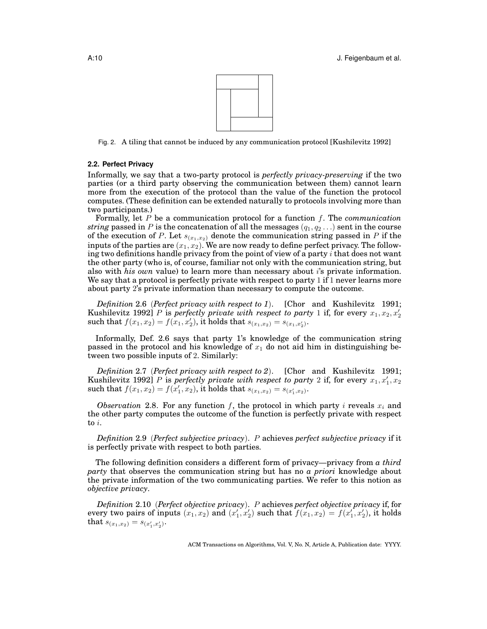

Fig. 2. A tiling that cannot be induced by any communication protocol [Kushilevitz 1992]

## **2.2. Perfect Privacy**

Informally, we say that a two-party protocol is *perfectly privacy-preserving* if the two parties (or a third party observing the communication between them) cannot learn more from the execution of the protocol than the value of the function the protocol computes. (These definition can be extended naturally to protocols involving more than two participants.)

Formally, let P be a communication protocol for a function f. The *communication string* passed in P is the concatenation of all the messages  $(q_1, q_2, \ldots)$  sent in the course of the execution of P. Let  $s_{(x_1,x_2)}$  denote the communication string passed in P if the inputs of the parties are  $(x_1, x_2)$ . We are now ready to define perfect privacy. The following two definitions handle privacy from the point of view of a party  $i$  that does not want the other party (who is, of course, familiar not only with the communication string, but also with *his own* value) to learn more than necessary about *i*'s private information. We say that a protocol is perfectly private with respect to party 1 if 1 never learns more about party 2's private information than necessary to compute the outcome.

*Definition* 2.6 (*Perfect privacy with respect to 1*). [Chor and Kushilevitz 1991; Kushilevitz 1992] P is *perfectly private with respect to party* 1 if, for every  $x_1, x_2, x_2'$ such that  $f(x_1, x_2) = f(x_1, x_2')$ , it holds that  $s_{(x_1, x_2)} = s_{(x_1, x_2')}$ .

Informally, Def. 2.6 says that party 1's knowledge of the communication string passed in the protocol and his knowledge of  $x_1$  do not aid him in distinguishing between two possible inputs of 2. Similarly:

*Definition* 2.7 (*Perfect privacy with respect to 2*). [Chor and Kushilevitz 1991; Kushilevitz 1992] P is *perfectly private with respect to party* 2 if, for every  $x_1, x_1', x_2'$ such that  $f(x_1, x_2) = f(x'_1, x_2)$ , it holds that  $s_{(x_1, x_2)} = s_{(x'_1, x_2)}$ .

*Observation* 2.8. For any function  $f$ , the protocol in which party i reveals  $x_i$  and the other party computes the outcome of the function is perfectly private with respect to i.

*Definition* 2.9 (*Perfect subjective privacy*). P achieves *perfect subjective privacy* if it is perfectly private with respect to both parties.

The following definition considers a different form of privacy—privacy from *a third party* that observes the communication string but has no *a priori* knowledge about the private information of the two communicating parties. We refer to this notion as *objective privacy*.

*Definition* 2.10 (*Perfect objective privacy*). P achieves *perfect objective privacy* if, for every two pairs of inputs  $(x_1, x_2)$  and  $(x'_1, x'_2)$  such that  $f(x_1, x_2) = f(x'_1, x'_2)$ , it holds  $\text{that } s_{(x_1,x_2)} = s_{(x'_1,x'_2)}.$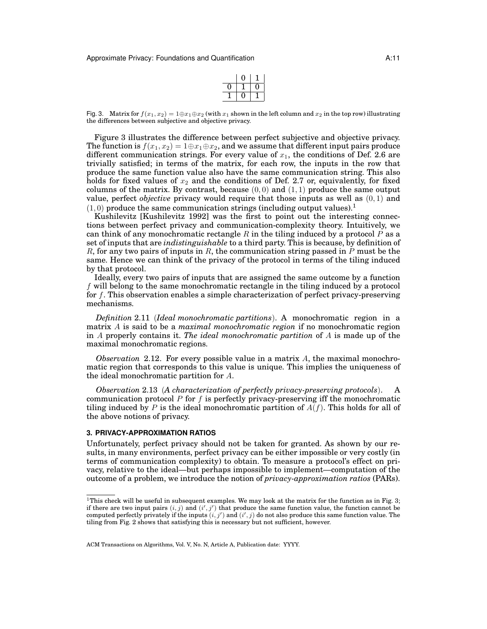Approximate Privacy: Foundations and Quantification A:11 A:11

|   | L |  |
|---|---|--|
| L |   |  |
|   |   |  |

Fig. 3. Matrix for  $f(x_1, x_2) = 1 \oplus x_1 \oplus x_2$  (with  $x_1$  shown in the left column and  $x_2$  in the top row) illustrating the differences between subjective and objective privacy.

Figure 3 illustrates the difference between perfect subjective and objective privacy. The function is  $f(x_1, x_2) = 1 \oplus x_1 \oplus x_2$ , and we assume that different input pairs produce different communication strings. For every value of  $x_1$ , the conditions of Def. 2.6 are trivially satisfied; in terms of the matrix, for each row, the inputs in the row that produce the same function value also have the same communication string. This also holds for fixed values of  $x_2$  and the conditions of Def. 2.7 or, equivalently, for fixed columns of the matrix. By contrast, because  $(0, 0)$  and  $(1, 1)$  produce the same output value, perfect *objective* privacy would require that those inputs as well as (0, 1) and  $(1,0)$  produce the same communication strings (including output values).<sup>1</sup>

Kushilevitz [Kushilevitz 1992] was the first to point out the interesting connections between perfect privacy and communication-complexity theory. Intuitively, we can think of any monochromatic rectangle  $R$  in the tiling induced by a protocol  $P$  as a set of inputs that are *indistinguishable* to a third party. This is because, by definition of R, for any two pairs of inputs in R, the communication string passed in P must be the same. Hence we can think of the privacy of the protocol in terms of the tiling induced by that protocol.

Ideally, every two pairs of inputs that are assigned the same outcome by a function f will belong to the same monochromatic rectangle in the tiling induced by a protocol for f. This observation enables a simple characterization of perfect privacy-preserving mechanisms.

*Definition* 2.11 (*Ideal monochromatic partitions*). A monochromatic region in a matrix A is said to be a *maximal monochromatic region* if no monochromatic region in A properly contains it. *The ideal monochromatic partition* of A is made up of the maximal monochromatic regions.

*Observation* 2.12. For every possible value in a matrix A, the maximal monochromatic region that corresponds to this value is unique. This implies the uniqueness of the ideal monochromatic partition for A.

*Observation* 2.13 (*A characterization of perfectly privacy-preserving protocols*). A communication protocol  $P$  for  $f$  is perfectly privacy-preserving iff the monochromatic tiling induced by P is the ideal monochromatic partition of  $A(f)$ . This holds for all of the above notions of privacy.

## **3. PRIVACY-APPROXIMATION RATIOS**

Unfortunately, perfect privacy should not be taken for granted. As shown by our results, in many environments, perfect privacy can be either impossible or very costly (in terms of communication complexity) to obtain. To measure a protocol's effect on privacy, relative to the ideal—but perhaps impossible to implement—computation of the outcome of a problem, we introduce the notion of *privacy-approximation ratios* (PARs).

<sup>&</sup>lt;sup>1</sup>This check will be useful in subsequent examples. We may look at the matrix for the function as in Fig. 3; if there are two input pairs  $(i, j)$  and  $(i', j')$  that produce the same function value, the function cannot be computed perfectly privately if the inputs  $(i, j')$  and  $(i', j)$  do not also produce this same function value. The tiling from Fig. 2 shows that satisfying this is necessary but not sufficient, however.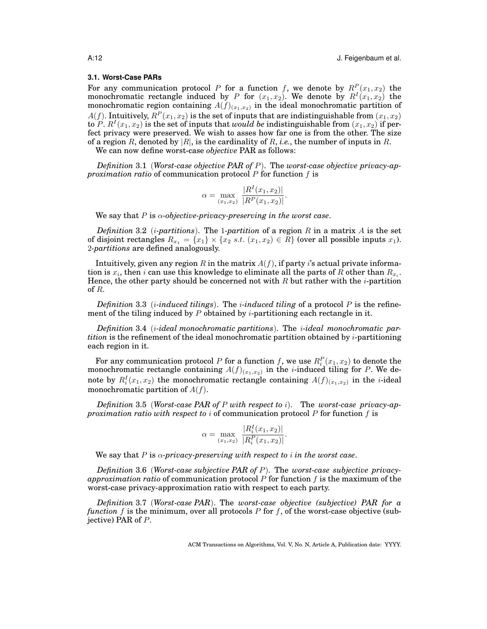## **3.1. Worst-Case PARs**

For any communication protocol P for a function f, we denote by  $R^P(x_1, x_2)$  the monochromatic rectangle induced by P for  $(x_1, x_2)$ . We denote by  $R^I(x_1, x_2)$  the monochromatic region containing  $A(f)_{(x_1,x_2)}$  in the ideal monochromatic partition of  $A(f)$ . Intuitively,  $R^P(x_1, x_2)$  is the set of inputs that are indistinguishable from  $(x_1, x_2)$ to  $P$ .  $R^I(x_1,x_2)$  is the set of inputs that  $would$  be indistinguishable from  $(x_1,x_2)$  if perfect privacy were preserved. We wish to asses how far one is from the other. The size of a region R, denoted by  $|R|$ , is the cardinality of R, *i.e.*, the number of inputs in R.

We can now define worst-case *objective* PAR as follows:

*Definition* 3.1 (*Worst-case objective PAR of* P). The *worst-case objective privacy-approximation ratio* of communication protocol P for function f is

$$
\alpha = \max_{(x_1, x_2)} \frac{|R^I(x_1, x_2)|}{|R^P(x_1, x_2)|}.
$$

We say that  $P$  is  $\alpha$ -objective-privacy-preserving in the worst case.

*Definition* 3.2 (i*-partitions*). The 1*-partition* of a region R in a matrix A is the set of disjoint rectangles  $R_{x_1} = \{x_1\} \times \{x_2 \text{ s.t. } (x_1, x_2) \in R\}$  (over all possible inputs  $x_1$ ). 2*-partitions* are defined analogously.

Intuitively, given any region R in the matrix  $A(f)$ , if party i's actual private information is  $x_i$ , then i can use this knowledge to eliminate all the parts of R other than  $R_{x_i}$ . Hence, the other party should be concerned not with R but rather with the *i*-partition of R.

*Definition* 3.3 (i*-induced tilings*). The i*-induced tiling* of a protocol P is the refinement of the tiling induced by  $P$  obtained by *i*-partitioning each rectangle in it.

*Definition* 3.4 (i*-ideal monochromatic partitions*). The i*-ideal monochromatic partition* is the refinement of the ideal monochromatic partition obtained by i-partitioning each region in it.

For any communication protocol P for a function f, we use  $R_i^P(x_1, x_2)$  to denote the monochromatic rectangle containing  $A(f)_{(x_1,x_2)}$  in the *i*-induced tiling for P. We denote by  $R_i^I(x_1, x_2)$  the monochromatic rectangle containing  $A(f)_{(x_1, x_2)}$  in the *i*-ideal monochromatic partition of  $A(f)$ .

*Definition* 3.5 (*Worst-case PAR of* P *with respect to* i). The *worst-case privacy-approximation ratio with respect to* i of communication protocol P for function f is

$$
\alpha = \max_{(x_1, x_2)} \frac{|R_i^I(x_1, x_2)|}{|R_i^P(x_1, x_2)|}.
$$

We say that  $P$  is  $\alpha$ -privacy-preserving with respect to *i* in the worst case.

*Definition* 3.6 (*Worst-case subjective PAR of* P). The *worst-case subjective privacyapproximation ratio* of communication protocol P for function f is the maximum of the worst-case privacy-approximation ratio with respect to each party.

*Definition* 3.7 (*Worst-case PAR*). The *worst-case objective (subjective) PAR for a function* f is the minimum, over all protocols P for f, of the worst-case objective (subjective) PAR of P.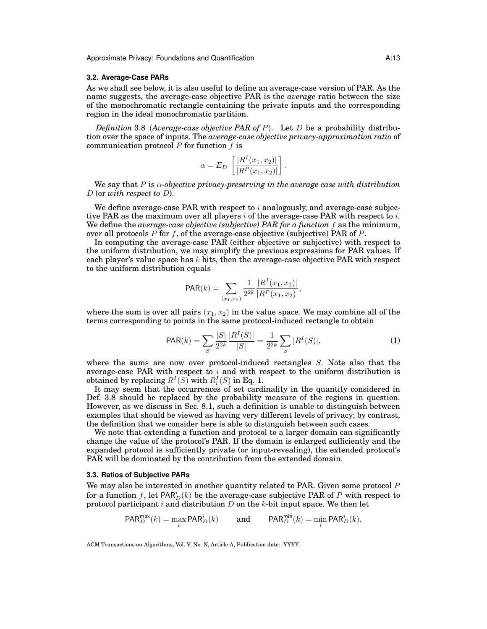Approximate Privacy: Foundations and Quantification A:13 A:13

## **3.2. Average-Case PARs**

As we shall see below, it is also useful to define an average-case version of PAR. As the name suggests, the average-case objective PAR is the *average* ratio between the size of the monochromatic rectangle containing the private inputs and the corresponding region in the ideal monochromatic partition.

*Definition* 3.8 (*Average-case objective PAR of* P). Let D be a probability distribution over the space of inputs. The *average-case objective privacy-approximation ratio* of communication protocol  $P$  for function  $f$  is

$$
\alpha = E_D \left[ \frac{|R^I(x_1, x_2)|}{|R^P(x_1, x_2)|} \right].
$$

We say that P is  $\alpha$ -objective privacy-preserving in the average case with distribution D (or *with respect to* D).

We define average-case PAR with respect to i analogously, and average-case subjective PAR as the maximum over all players *i* of the average-case PAR with respect to *i*. We define the *average-case objective (subjective) PAR for a function* f as the minimum, over all protocols  $P$  for f, of the average-case objective (subjective) PAR of  $P$ .

In computing the average-case PAR (either objective or subjective) with respect to the uniform distribution, we may simplify the previous expressions for PAR values. If each player's value space has  $k$  bits, then the average-case objective PAR with respect to the uniform distribution equals

$$
\mathsf{PAR}(k) = \sum_{(x_1, x_2)} \frac{1}{2^{2k}} \frac{|R^I(x_1, x_2)|}{|R^P(x_1, x_2)|},
$$

where the sum is over all pairs  $(x_1, x_2)$  in the value space. We may combine all of the terms corresponding to points in the same protocol-induced rectangle to obtain

$$
PAR(k) = \sum_{S} \frac{|S|}{2^{2k}} \frac{|R^{I}(S)|}{|S|} = \frac{1}{2^{2k}} \sum_{S} |R^{I}(S)|,
$$
 (1)

where the sums are now over protocol-induced rectangles S. Note also that the average-case PAR with respect to  $i$  and with respect to the uniform distribution is  $\hbox{\rm obtained by replacing}\ R^I(S) \hbox{\ with\ } R_i^I(S) \hbox{\ in\ Eq.\ 1.}$ 

It may seem that the occurrences of set cardinality in the quantity considered in Def. 3.8 should be replaced by the probability measure of the regions in question. However, as we discuss in Sec. 8.1, such a definition is unable to distinguish between examples that should be viewed as having very different levels of privacy; by contrast, the definition that we consider here is able to distinguish between such cases.

We note that extending a function and protocol to a larger domain can significantly change the value of the protocol's PAR. If the domain is enlarged sufficiently and the expanded protocol is sufficiently private (or input-revealing), the extended protocol's PAR will be dominated by the contribution from the extended domain.

### **3.3. Ratios of Subjective PARs**

We may also be interested in another quantity related to PAR. Given some protocol P for a function  $f$ , let PAR ${}^i_D(k)$  be the average-case subjective PAR of  $P$  with respect to protocol participant i and distribution  $D$  on the k-bit input space. We then let

$$
\mathsf{PAR}_{D}^{\mathsf{max}}(k) = \max_{i} \mathsf{PAR}_{D}^{i}(k) \qquad \text{and} \qquad \mathsf{PAR}_{D}^{\mathsf{min}}(k) = \min_{i} \mathsf{PAR}_{D}^{i}(k),
$$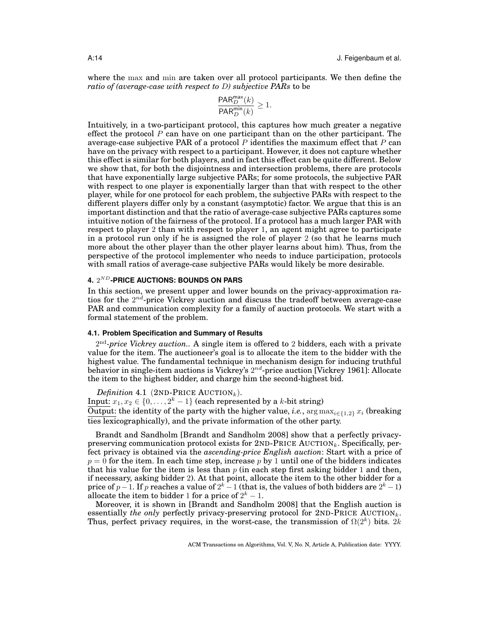where the max and min are taken over all protocol participants. We then define the *ratio of (average-case with respect to* D*) subjective PARs* to be

$$
\frac{\mathsf{PAR}_D^{\max}(k)}{\mathsf{PAR}_D^{\min}(k)} \geq 1.
$$

Intuitively, in a two-participant protocol, this captures how much greater a negative effect the protocol  $P$  can have on one participant than on the other participant. The average-case subjective PAR of a protocol  $P$  identifies the maximum effect that  $P$  can have on the privacy with respect to a participant. However, it does not capture whether this effect is similar for both players, and in fact this effect can be quite different. Below we show that, for both the disjointness and intersection problems, there are protocols that have exponentially large subjective PARs; for some protocols, the subjective PAR with respect to one player is exponentially larger than that with respect to the other player, while for one protocol for each problem, the subjective PARs with respect to the different players differ only by a constant (asymptotic) factor. We argue that this is an important distinction and that the ratio of average-case subjective PARs captures some intuitive notion of the fairness of the protocol. If a protocol has a much larger PAR with respect to player 2 than with respect to player 1, an agent might agree to participate in a protocol run only if he is assigned the role of player 2 (so that he learns much more about the other player than the other player learns about him). Thus, from the perspective of the protocol implementer who needs to induce participation, protocols with small ratios of average-case subjective PARs would likely be more desirable.

## **4.** 2 ND**-PRICE AUCTIONS: BOUNDS ON PARS**

In this section, we present upper and lower bounds on the privacy-approximation ratios for the  $2^{nd}$ -price Vickrey auction and discuss the tradeoff between average-case PAR and communication complexity for a family of auction protocols. We start with a formal statement of the problem.

## **4.1. Problem Specification and Summary of Results**

2<sup>nd</sup>-price Vickrey auction.. A single item is offered to 2 bidders, each with a private value for the item. The auctioneer's goal is to allocate the item to the bidder with the highest value. The fundamental technique in mechanism design for inducing truthful behavior in single-item auctions is Vickrey's  $2^{nd}$ -price auction [Vickrey 1961]: Allocate the item to the highest bidder, and charge him the second-highest bid.

*Definition* 4.1 (2ND-PRICE  $\text{AUCTION}_k$ ).

 $\texttt{Input: } x_1, x_2 \in \{0, \ldots, 2^k-1\} \text{ (each represented by a } k\text{-bit string)}$ 

Output: the identity of the party with the higher value, *i.e.*,  $\arg \max_{i \in \{1,2\}} x_i$  (breaking ties lexicographically), and the private information of the other party.

Brandt and Sandholm [Brandt and Sandholm 2008] show that a perfectly privacypreserving communication protocol exists for  $2ND$ -PRICE AUCTION<sub>k</sub>. Specifically, perfect privacy is obtained via the *ascending-price English auction*: Start with a price of  $p = 0$  for the item. In each time step, increase p by 1 until one of the bidders indicates that his value for the item is less than  $p$  (in each step first asking bidder 1 and then, if necessary, asking bidder 2). At that point, allocate the item to the other bidder for a price of  $p-1$ . If p reaches a value of  $2^k-1$  (that is, the values of both bidders are  $2^k-1$ ) allocate the item to bidder 1 for a price of  $2^k - 1$ .

Moreover, it is shown in [Brandt and Sandholm 2008] that the English auction is essentially *the only* perfectly privacy-preserving protocol for  $2ND$ -PRICE AUCTION<sub>k</sub>. Thus, perfect privacy requires, in the worst-case, the transmission of  $\Omega(2^k)$  bits. 2k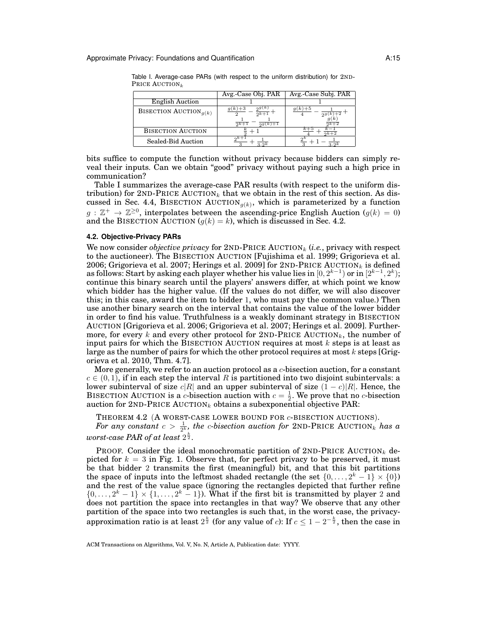Approximate Privacy: Foundations and Quantification A:15

|                                                | Avg.-Case Obj. PAR     | Avg.-Case Subj. PAR  |  |
|------------------------------------------------|------------------------|----------------------|--|
| <b>English Auction</b>                         |                        |                      |  |
| BISECTION AUCTION <sub><math>q(k)</math></sub> | $g(k)+3$<br>$2^{g(k)}$ | $(k)+5$<br>$2g(k)+2$ |  |
|                                                | $2q(k)+1$              |                      |  |
| <b>BISECTION AUCTION</b>                       |                        |                      |  |
| Sealed-Bid Auction                             |                        | $\alpha\kappa$       |  |

Table I. Average-case PARs (with respect to the uniform distribution) for 2ND-PRICE  $\text{AUCTION}_k$ 

bits suffice to compute the function without privacy because bidders can simply reveal their inputs. Can we obtain "good" privacy without paying such a high price in communication?

Table I summarizes the average-case PAR results (with respect to the uniform distribution) for 2ND-PRICE AUCTION<sub>k</sub> that we obtain in the rest of this section. As discussed in Sec. 4.4, BISECTION AUCTION<sub> $g(k)$ </sub>, which is parameterized by a function  $g: \mathbb{Z}^+ \to \mathbb{Z}^{\geq 0}$ , interpolates between the ascending-price English Auction ( $g(k) = 0$ ) and the BISECTION AUCTION  $(g(k) = k)$ , which is discussed in Sec. 4.2.

### **4.2. Objective-Privacy PARs**

We now consider *objective privacy* for 2ND-PRICE AUCTION<sub>k</sub> (*i.e.*, privacy with respect to the auctioneer). The BISECTION AUCTION [Fujishima et al. 1999; Grigorieva et al. 2006; Grigorieva et al. 2007; Herings et al. 2009] for 2ND-PRICE  $\text{AUCTION}_k$  is defined as follows: Start by asking each player whether his value lies in  $[0, 2^{k-1})$  or in  $[2^{k-1}, 2^k);$ continue this binary search until the players' answers differ, at which point we know which bidder has the higher value. (If the values do not differ, we will also discover this; in this case, award the item to bidder 1, who must pay the common value.) Then use another binary search on the interval that contains the value of the lower bidder in order to find his value. Truthfulness is a weakly dominant strategy in BISECTION AUCTION [Grigorieva et al. 2006; Grigorieva et al. 2007; Herings et al. 2009]. Furthermore, for every k and every other protocol for  $2ND-PRICE AUCTION_k$ , the number of input pairs for which the BISECTION AUCTION requires at most  $k$  steps is at least as large as the number of pairs for which the other protocol requires at most  $k$  steps [Grigorieva et al. 2010, Thm. 4.7].

More generally, we refer to an auction protocol as a c-bisection auction, for a constant  $c \in (0, 1)$ , if in each step the interval R is partitioned into two disjoint subintervals: a lower subinterval of size  $c|R|$  and an upper subinterval of size  $(1 - c)|R|$ . Hence, the BISECTION AUCTION is a *c*-bisection auction with  $c = \frac{1}{2}$ . We prove that no *c*-bisection auction for  $2ND$ -PRICE AUCTION<sub>k</sub> obtains a subexponential objective PAR:

THEOREM 4.2 (A WORST-CASE LOWER BOUND FOR  $c$ -BISECTION AUCTIONS).

For any constant  $c > \frac{1}{2^k}$ , the *c*-bisection auction for 2ND-PRICE AUCTION<sub>k</sub> has a  $worst-case~PAR$  of at least  $2^{\frac{k}{2}}.$ 

PROOF. Consider the ideal monochromatic partition of  $2ND$ -PRICE AUCTION<sub>k</sub> depicted for  $k = 3$  in Fig. 1. Observe that, for perfect privacy to be preserved, it must be that bidder 2 transmits the first (meaningful) bit, and that this bit partitions the space of inputs into the leftmost shaded rectangle (the set  $\{0, \ldots, 2^k - 1\} \times \{0\}$ ) and the rest of the value space (ignoring the rectangles depicted that further refine  $\{0, \ldots, 2^k-1\} \times \{1, \ldots, 2^k-1\}$ ). What if the first bit is transmitted by player 2 and does not partition the space into rectangles in that way? We observe that any other partition of the space into two rectangles is such that, in the worst case, the privacyapproximation ratio is at least  $2^{\frac{k}{2}}$  (for any value of c): If  $c \leq 1 - 2^{-\frac{k}{2}},$  then the case in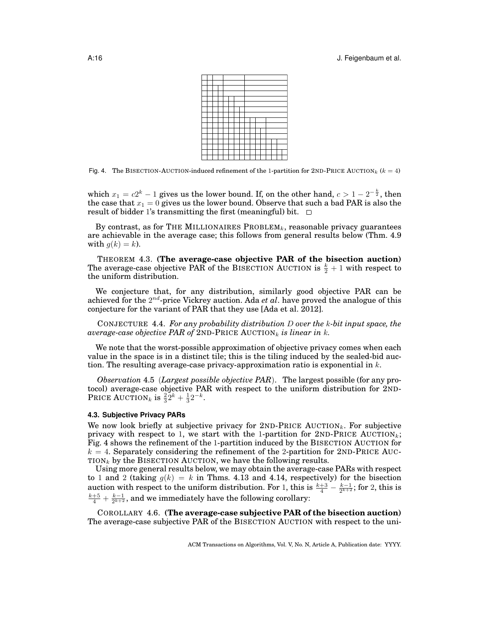

Fig. 4. The BISECTION-AUCTION-induced refinement of the 1-partition for 2ND-PRICE AUCTION<sub>k</sub>  $(k = 4)$ 

which  $x_1 = c2^k - 1$  gives us the lower bound. If, on the other hand,  $c > 1 - 2^{-\frac{k}{2}}$ , then the case that  $x_1=0$  gives us the lower bound. Observe that such a bad PAR is also the result of bidder 1's transmitting the first (meaningful) bit.  $\Box$ 

By contrast, as for THE MILLIONAIRES  $PROBLEM_k$ , reasonable privacy guarantees are achievable in the average case; this follows from general results below (Thm. 4.9 with  $g(k) = k$ ).

THEOREM 4.3. **(The average-case objective PAR of the bisection auction)** The average-case objective PAR of the BISECTION AUCTION is  $\frac{k}{2} + 1$  with respect to the uniform distribution.

We conjecture that, for any distribution, similarly good objective PAR can be achieved for the 2<sup>nd</sup>-price Vickrey auction. Ada *et al*. have proved the analogue of this conjecture for the variant of PAR that they use [Ada et al. 2012].

CONJECTURE 4.4. *For any probability distribution* D *over the* k*-bit input space, the average-case objective PAR of* 2ND-PRICE  $\text{AUCTION}_k$  *is linear in k.* 

We note that the worst-possible approximation of objective privacy comes when each value in the space is in a distinct tile; this is the tiling induced by the sealed-bid auction. The resulting average-case privacy-approximation ratio is exponential in  $k$ .

*Observation* 4.5 (*Largest possible objective PAR*). The largest possible (for any protocol) average-case objective PAR with respect to the uniform distribution for 2ND-PRICE AUCTION<sub>k</sub> is  $\frac{2}{3}2^k + \frac{1}{3}2^{-k}$ .

## **4.3. Subjective Privacy PARs**

We now look briefly at subjective privacy for  $2ND-PRICE AUCTION_k$ . For subjective privacy with respect to 1, we start with the 1-partition for  $2ND-PRICE AUCTION_k$ ; Fig. 4 shows the refinement of the 1-partition induced by the BISECTION AUCTION for  $k = 4$ . Separately considering the refinement of the 2-partition for 2ND-PRICE AUC- $TION_k$  by the BISECTION AUCTION, we have the following results.

Using more general results below, we may obtain the average-case PARs with respect to 1 and 2 (taking  $g(k) = k$  in Thms. 4.13 and 4.14, respectively) for the bisection auction with respect to the uniform distribution. For 1, this is  $\frac{k+3}{4} - \frac{k-1}{2^{k+2}}$ ; for 2, this is  $\frac{k+5}{4}+\frac{k-1}{2^{k+2}}$ , and we immediately have the following corollary:

COROLLARY 4.6. **(The average-case subjective PAR of the bisection auction)** The average-case subjective PAR of the BISECTION AUCTION with respect to the uni-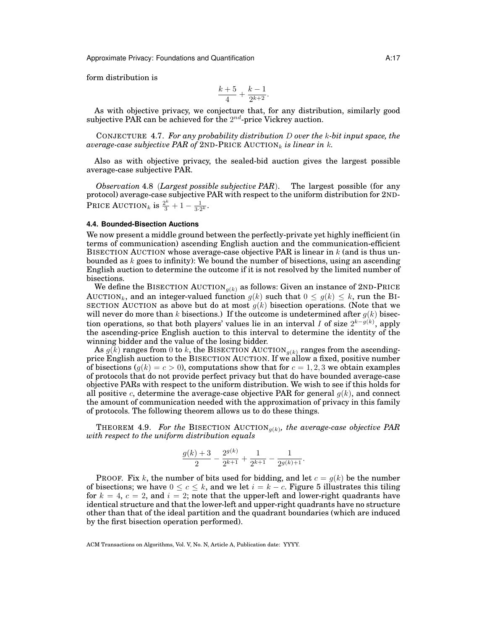Approximate Privacy: Foundations and Quantification A:17

form distribution is

$$
\frac{k+5}{4} + \frac{k-1}{2^{k+2}}.
$$

As with objective privacy, we conjecture that, for any distribution, similarly good subjective PAR can be achieved for the  $2^{nd}$ -price Vickrey auction.

CONJECTURE 4.7. *For any probability distribution* D *over the* k*-bit input space, the average-case subjective PAR of* 2ND-PRICE  $\text{AUCTION}_k$  *is linear in*  $k$ .

Also as with objective privacy, the sealed-bid auction gives the largest possible average-case subjective PAR.

*Observation* 4.8 (*Largest possible subjective PAR*). The largest possible (for any protocol) average-case subjective PAR with respect to the uniform distribution for 2ND-PRICE AUCTION<sub>k</sub> is  $\frac{2^k}{3} + 1 - \frac{1}{3 \cdot 2^k}$ .

### **4.4. Bounded-Bisection Auctions**

We now present a middle ground between the perfectly-private yet highly inefficient (in terms of communication) ascending English auction and the communication-efficient BISECTION AUCTION whose average-case objective PAR is linear in  $k$  (and is thus unbounded as  $k$  goes to infinity): We bound the number of bisections, using an ascending English auction to determine the outcome if it is not resolved by the limited number of bisections.

We define the BISECTION  $\text{AUCTION}_{g(k)}$  as follows: Given an instance of 2ND-PRICE AUCTION<sub>k</sub>, and an integer-valued function  $g(k)$  such that  $0 \le g(k) \le k$ , run the BI-SECTION AUCTION as above but do at most  $g(k)$  bisection operations. (Note that we will never do more than  $k$  bisections.) If the outcome is undetermined after  $q(k)$  bisection operations, so that both players' values lie in an interval I of size  $2^{k-g(k)}$ , apply the ascending-price English auction to this interval to determine the identity of the winning bidder and the value of the losing bidder.

As  $g(k)$  ranges from 0 to k, the BISECTION AUCTION<sub> $g(k)$ </sub> ranges from the ascendingprice English auction to the BISECTION AUCTION. If we allow a fixed, positive number of bisections  $(g(k) = c > 0)$ , computations show that for  $c = 1, 2, 3$  we obtain examples of protocols that do not provide perfect privacy but that do have bounded average-case objective PARs with respect to the uniform distribution. We wish to see if this holds for all positive c, determine the average-case objective PAR for general  $g(k)$ , and connect the amount of communication needed with the approximation of privacy in this family of protocols. The following theorem allows us to do these things.

THEOREM 4.9. For the BISECTION  $\text{AUCTION}_{g(k)}$ , the average-case objective PAR *with respect to the uniform distribution equals*

$$
\frac{g(k)+3}{2} - \frac{2^{g(k)}}{2^{k+1}} + \frac{1}{2^{k+1}} - \frac{1}{2^{g(k)+1}}.
$$

PROOF. Fix k, the number of bits used for bidding, and let  $c = g(k)$  be the number of bisections; we have  $0 \leq c \leq k$ , and we let  $i = k - c$ . Figure 5 illustrates this tiling for  $k = 4$ ,  $c = 2$ , and  $i = 2$ ; note that the upper-left and lower-right quadrants have identical structure and that the lower-left and upper-right quadrants have no structure other than that of the ideal partition and the quadrant boundaries (which are induced by the first bisection operation performed).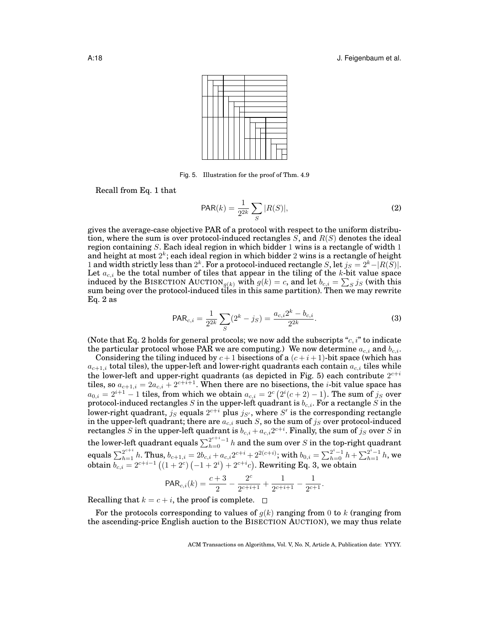

Fig. 5. Illustration for the proof of Thm. 4.9

Recall from Eq. 1 that

$$
PAR(k) = \frac{1}{2^{2k}} \sum_{S} |R(S)|,
$$
 (2)

gives the average-case objective PAR of a protocol with respect to the uniform distribution, where the sum is over protocol-induced rectangles  $S$ , and  $R(S)$  denotes the ideal region containing S. Each ideal region in which bidder 1 wins is a rectangle of width  $1$ and height at most  $2^k$ ; each ideal region in which bidder 2 wins is a rectangle of height 1 and width strictly less than  $2^k$ . For a protocol-induced rectangle S, let  $j_S = 2^k - |R(S)|$ . Let  $a_{c,i}$  be the total number of tiles that appear in the tiling of the k-bit value space induced by the BISECTION AUCTION<sub>g(k)</sub> with  $g(k) = c$ , and let  $b_{c,i} = \sum_{S} j_S$  (with this sum being over the protocol-induced tiles in this same partition). Then we may rewrite Eq. 2 as

$$
\text{PAR}_{c,i} = \frac{1}{2^{2k}} \sum_{S} (2^k - j_S) = \frac{a_{c,i} 2^k - b_{c,i}}{2^{2k}}.
$$
 (3)

(Note that Eq. 2 holds for general protocols; we now add the subscripts " $c, i$ " to indicate the particular protocol whose PAR we are computing.) We now determine  $a_{c,i}$  and  $b_{c,i}$ .

Considering the tiling induced by  $c+1$  bisections of a  $(c+i+1)$ -bit space (which has  $a_{c+1,i}$  total tiles), the upper-left and lower-right quadrants each contain  $a_{c,i}$  tiles while the lower-left and upper-right quadrants (as depicted in Fig. 5) each contribute  $2^{c+i}$ tiles, so  $a_{c+1,i} = 2a_{c,i} + 2^{c+i+1}$ . When there are no bisections, the *i*-bit value space has  $a_{0,i}=2^{i+1}-1$  tiles, from which we obtain  $a_{c,i}=2^c\left(2^i(c+2)-1\right).$  The sum of  $j_S$  over protocol-induced rectangles  $S$  in the upper-left quadrant is  $b_{c,i}.$  For a rectangle  $S$  in the lower-right quadrant,  $j_S$  equals  $2^{c+i}$  plus  $j_{S^\prime}$ , where  $S^\prime$  is the corresponding rectangle in the upper-left quadrant; there are  $a_{c,i}$  such  $S,$  so the sum of  $j_S$  over protocol-induced rectangles  $S$  in the upper-left quadrant is  $b_{c,i}+a_{c,i}2^{c+i}.$  Finally, the sum of  $j_S$  over  $S$  in the lower-left quadrant equals  $\sum_{h=0}^{2^{c+i}-1}h$  and the sum over  $S$  in the top-right quadrant  $\text{equals } \sum_{h=1}^{2^{c+i}} h. \text{ Thus, } b_{c+1,i} = 2b_{c,i} + a_{c,i}2^{c+i} + 2^{2(c+i)}; \text{with } b_{0,i} = \sum_{h=0}^{2^i-1} h + \sum_{h=1}^{2^i-1} h, \text{ we}$ obtain  $b_{c,i} = 2^{c+i-1} \left( (1+2^c) \left(-1+2^i\right) + 2^{c+i} c \right)$ . Rewriting Eq. 3, we obtain

$$
\text{PAR}_{c,i}(k) = \frac{c+3}{2} - \frac{2^c}{2^{c+i+1}} + \frac{1}{2^{c+i+1}} - \frac{1}{2^{c+1}}.
$$

Recalling that  $k = c + i$ , the proof is complete.  $\Box$ 

For the protocols corresponding to values of  $q(k)$  ranging from 0 to k (ranging from the ascending-price English auction to the BISECTION AUCTION), we may thus relate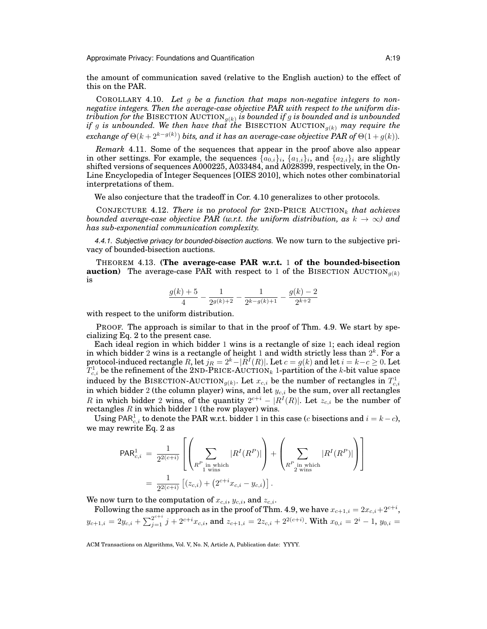Approximate Privacy: Foundations and Quantification A:19 A:19

the amount of communication saved (relative to the English auction) to the effect of this on the PAR.

COROLLARY 4.10. *Let* g *be a function that maps non-negative integers to nonnegative integers. Then the average-case objective PAR with respect to the uniform dis* $t$ ribution for the  ${\rm BISECTION}$  AUCTION  $g_{(k)}$  is bounded if  $g$  is bounded and is unbounded *if* g *is unbounded. We then have that the* BISECTION AUCTIONg(k) *may require the*  $\emph{exchange of $\Theta(k+2^{k-g(k)})$ bits, and it has an average-case objective PAR of $\Theta(1+g(k))$.}$ 

*Remark* 4.11. Some of the sequences that appear in the proof above also appear in other settings. For example, the sequences  $\{a_{0,i}\}_i$ ,  $\{a_{1,i}\}_i$ , and  $\{a_{2,i}\}_i$  are slightly shifted versions of sequences A000225, A033484, and A028399, respectively, in the On-Line Encyclopedia of Integer Sequences [OIES 2010], which notes other combinatorial interpretations of them.

We also conjecture that the tradeoff in Cor. 4.10 generalizes to other protocols.

CONJECTURE 4.12. *There is* no *protocol for*  $2ND-PRICE AUCTON<sub>k</sub>$  *that achieves bounded average-case objective PAR (w.r.t. the uniform distribution, as*  $k \to \infty$ ) and *has sub-exponential communication complexity.*

*4.4.1. Subjective privacy for bounded-bisection auctions.* We now turn to the subjective privacy of bounded-bisection auctions.

THEOREM 4.13. **(The average-case PAR w.r.t.** 1 **of the bounded-bisection auction)** The average-case PAR with respect to 1 of the BISECTION  $AUCTION_{q(k)}$ is

$$
\frac{g(k)+5}{4}-\frac{1}{2^{g(k)+2}}-\frac{1}{2^{k-g(k)+1}}-\frac{g(k)-2}{2^{k+2}}
$$

with respect to the uniform distribution.

PROOF. The approach is similar to that in the proof of Thm. 4.9. We start by specializing Eq. 2 to the present case.

Each ideal region in which bidder 1 wins is a rectangle of size 1; each ideal region in which bidder 2 wins is a rectangle of height 1 and width strictly less than  $2^k$ . For a protocol-induced rectangle  $R$ , let  $j_R = 2^k - |\bar{R}^I(R)|.$  Let  $c = g(k)$  and let  $i = k-c \geq 0.$  Let  $\bar{T}_{c,i}^1$  be the refinement of the 2ND-PRICE-AUCTION $_k$  1-partition of the  $k$ -bit value space induced by the BISECTION-AUCTION<sub>g(k)</sub>. Let  $x_{c,i}$  be the number of rectangles in  $T_{c,i}^1$ in which bidder 2 (the column player) wins, and let  $y_{c,i}$  be the sum, over all rectangles R in which bidder 2 wins, of the quantity  $2^{c+i} - |R^I(R)|$ . Let  $z_{c,i}$  be the number of rectangles  $R$  in which bidder 1 (the row player) wins.

Using PAR $_{c,i}^1$  to denote the PAR w.r.t. bidder 1 in this case (c bisections and  $i = k - c$ ), we may rewrite Eq. 2 as

$$
\begin{split} \mathsf{PAR}_{c,i}^{1} \ &= \ \frac{1}{2^{2(c+i)}} \left[ \left( \sum_{R^{P} \text{ in which } |R^{I}(R^{P})|} \right) + \left( \sum_{R^{P} \text{ in which } |R^{I}(R^{P})|} \right) \right] \\ &= \ \frac{1}{2^{2(c+i)}} \left[ (z_{c,i}) + \left( 2^{c+i} x_{c,i} - y_{c,i} \right) \right]. \end{split}
$$

We now turn to the computation of  $x_{c,i}$ ,  $y_{c,i}$ , and  $z_{c,i}$ .

Following the same approach as in the proof of Thm. 4.9, we have  $x_{c+1,i} = 2x_{c,i}+2^{c+i},$  $y_{c+1,i}=2y_{c,i}+\sum_{j=1}^{2^{c+i}}j+2^{c+i}x_{c,i}, \text{ and } z_{c+1,i}=2z_{c,i}+2^{2(c+i)}. \text{ With } x_{0,i}=2^i-1 \text{, } y_{0,i}=1 \text{, } y_{c,i}=1 \text{, } y_{c,i}=1 \text{, } y_{c,i}=1 \text{, } y_{c,i}=1 \text{, } y_{c,i}=1 \text{, } y_{c,i}=1 \text{, } y_{c,i}=1 \text{, } y_{c,i}=1 \text{, } y_{c,i}=1 \text{, } y_{c,i}=1 \text{, } y_{c,i}=1 \text{, } y_{c,i}=$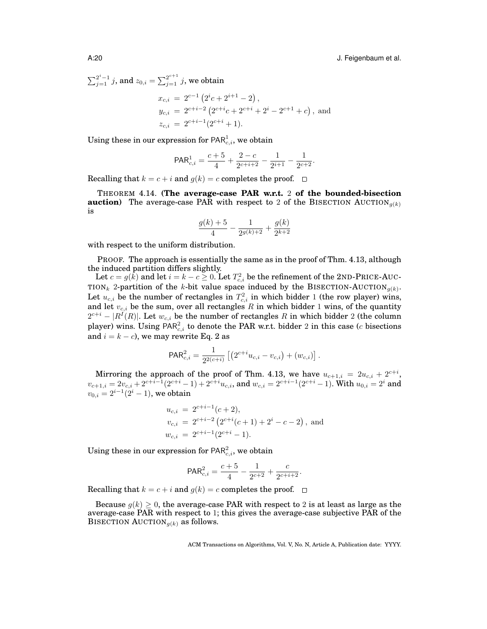A:20 J. Feigenbaum et al.

 $\sum_{j=1}^{2^i-1} j,$  and  $z_{0,i}=\sum_{j=1}^{2^{c+1}} j,$  we obtain

$$
x_{c,i} = 2^{c-1} (2^i c + 2^{i+1} - 2),
$$
  
\n
$$
y_{c,i} = 2^{c+i-2} (2^{c+i} c + 2^{c+i} + 2^i - 2^{c+1} + c),
$$
 and  
\n
$$
z_{c,i} = 2^{c+i-1} (2^{c+i} + 1).
$$

Using these in our expression for PAR $_{c,i}^1$ , we obtain

$$
\text{PAR}^{1}_{c,i} = \frac{c+5}{4} + \frac{2-c}{2^{c+i+2}} - \frac{1}{2^{i+1}} - \frac{1}{2^{c+2}}.
$$

Recalling that  $k = c + i$  and  $g(k) = c$  completes the proof.  $\Box$ 

THEOREM 4.14. **(The average-case PAR w.r.t.** 2 **of the bounded-bisection auction)** The average-case PAR with respect to 2 of the BISECTION  $AUCTION_{q(k)}$ is

$$
\frac{g(k)+5}{4}-\frac{1}{2^{g(k)+2}}+\frac{g(k)}{2^{k+2}}
$$

with respect to the uniform distribution.

PROOF. The approach is essentially the same as in the proof of Thm. 4.13, although the induced partition differs slightly.

Let  $c=g(\bar{k})$  and let  $i=k-c\geqq0.$  Let  $T_{c,i}^2$  be the refinement of the 2ND-PRICE-AUC-TION<sub>k</sub> 2-partition of the k-bit value space induced by the BISECTION-AUCTION<sub>g(k)</sub>. Let  $u_{c,i}$  be the number of rectangles in  $T_{c,i}^2$  in which bidder 1 (the row player) wins, and let  $v_{c,i}$  be the sum, over all rectangles R in which bidder 1 wins, of the quantity  $2^{c+i} - |R^I(R)|$ . Let  $w_{c,i}$  be the number of rectangles  $R$  in which bidder  $2$  (the column player) wins. Using PAR $_{c,i}^2$  to denote the PAR w.r.t. bidder 2 in this case (c bisections and  $i = k - c$ , we may rewrite Eq. 2 as

$$
\textsf{PAR}^2_{c,i} = \frac{1}{2^{2(c+i)}} \left[ \left( 2^{c+i} u_{c,i} - v_{c,i} \right) + \left( w_{c,i} \right) \right].
$$

Mirroring the approach of the proof of Thm. 4.13, we have  $u_{c+1,i} = 2u_{c,i} + 2^{c+i}$ ,  $v_{c+1,i} = 2v_{c,i} + 2^{c+i-1}(2^{c+i}-1) + 2^{c+i}u_{c,i}$ , and  $w_{c,i} = 2^{c+i-1}(2^{c+i}-1)$ . With  $u_{0,i} = 2^i$  and  $v_{0,i}=2^{i-1}(2^i-1),$  we obtain

$$
u_{c,i} = 2^{c+i-1}(c+2),
$$
  
\n
$$
v_{c,i} = 2^{c+i-2} (2^{c+i}(c+1) + 2^i - c - 2),
$$
 and  
\n
$$
w_{c,i} = 2^{c+i-1} (2^{c+i} - 1).
$$

Using these in our expression for PAR $_{c,i}^2$ , we obtain

$$
\text{PAR}^2_{c,i} = \frac{c+5}{4} - \frac{1}{2^{c+2}} + \frac{c}{2^{c+i+2}}.
$$

Recalling that  $k = c + i$  and  $g(k) = c$  completes the proof.  $\Box$ 

Because  $q(k) > 0$ , the average-case PAR with respect to 2 is at least as large as the average-case PAR with respect to 1; this gives the average-case subjective PAR of the BISECTION AUCTION<sub> $q(k)$ </sub> as follows.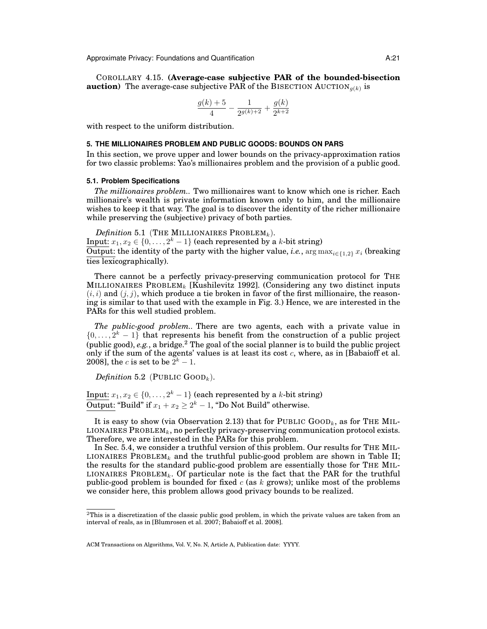COROLLARY 4.15. **(Average-case subjective PAR of the bounded-bisection auction)** The average-case subjective PAR of the BISECTION  $\text{AUCTION}_{g(k)}$  is

$$
\frac{g(k) + 5}{4} - \frac{1}{2^{g(k)+2}} + \frac{g(k)}{2^{k+2}}
$$

with respect to the uniform distribution.

## **5. THE MILLIONAIRES PROBLEM AND PUBLIC GOODS: BOUNDS ON PARS**

In this section, we prove upper and lower bounds on the privacy-approximation ratios for two classic problems: Yao's millionaires problem and the provision of a public good.

### **5.1. Problem Specifications**

*The millionaires problem..* Two millionaires want to know which one is richer. Each millionaire's wealth is private information known only to him, and the millionaire wishes to keep it that way. The goal is to discover the identity of the richer millionaire while preserving the (subjective) privacy of both parties.

*Definition* 5.1 (THE MILLIONAIRES  $\text{PROBLEM}_k$ ).  $\texttt{Input: } x_1, x_2 \in \{0, \ldots, 2^k-1\} \text{ (each represented by a } k\text{-bit string)}$  $\overline{\text{Output}}$ : the identity of the party with the higher value, *i.e.*, arg max<sub>i∈{1,2}</sub>  $x_i$  (breaking ties lexicographically).

There cannot be a perfectly privacy-preserving communication protocol for THE MILLIONAIRES PROBLEM<sub>k</sub> [Kushilevitz 1992]. (Considering any two distinct inputs  $(i, i)$  and  $(j, j)$ , which produce a tie broken in favor of the first millionaire, the reasoning is similar to that used with the example in Fig. 3.) Hence, we are interested in the PARs for this well studied problem.

*The public-good problem..* There are two agents, each with a private value in  $\{0, \ldots, 2^k-1\}$  that represents his benefit from the construction of a public project (public good), *e.g.*, a bridge.<sup>2</sup> The goal of the social planner is to build the public project only if the sum of the agents' values is at least its cost  $c$ , where, as in [Babaioff et al. 2008], the  $c$  is set to be  $2^k-1$ .

*Definition* 5.2 (PUBLIC  $GOOD_k$ ).

Input:  $x_1, x_2 \in \{0, \ldots, 2^k-1\}$  (each represented by a *k*-bit string) Output: "Build" if  $x_1 + x_2 \geq 2^k - 1$ , "Do Not Build" otherwise.

It is easy to show (via Observation 2.13) that for PUBLIC  $\text{GOOD}_k$ , as for THE MIL-LIONAIRES  $PROBLEM<sub>k</sub>$ , no perfectly privacy-preserving communication protocol exists. Therefore, we are interested in the PARs for this problem.

In Sec. 5.4, we consider a truthful version of this problem. Our results for THE MIL-LIONAIRES PROBLEM<sub>k</sub> and the truthful public-good problem are shown in Table II; the results for the standard public-good problem are essentially those for THE MIL-LIONAIRES PROBLEM<sub>k</sub>. Of particular note is the fact that the PAR for the truthful public-good problem is bounded for fixed  $c$  (as k grows); unlike most of the problems we consider here, this problem allows good privacy bounds to be realized.

<sup>&</sup>lt;sup>2</sup>This is a discretization of the classic public good problem, in which the private values are taken from an interval of reals, as in [Blumrosen et al. 2007; Babaioff et al. 2008].

ACM Transactions on Algorithms, Vol. V, No. N, Article A, Publication date: YYYY.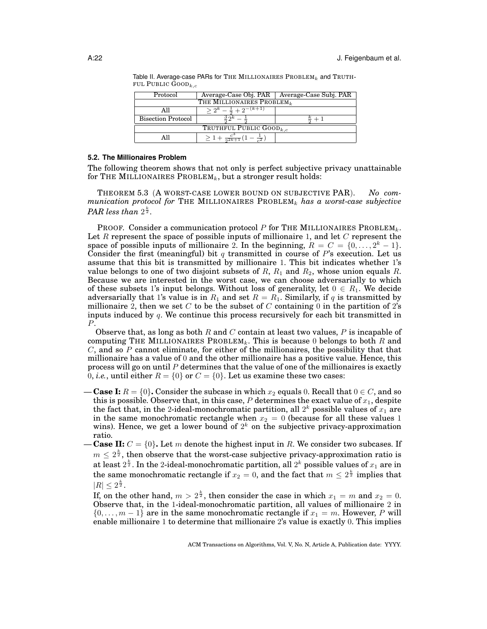| Protocol                                                 |                                    | Average-Case Obj. PAR   Average-Case Subj. PAR |  |  |  |
|----------------------------------------------------------|------------------------------------|------------------------------------------------|--|--|--|
| THE MILLIONAIRES PROBLEM <sub>k</sub>                    |                                    |                                                |  |  |  |
| All                                                      | $> 2^k - \frac{1}{2} + 2^{-(k+1)}$ |                                                |  |  |  |
| <b>Bisection Protocol</b>                                |                                    |                                                |  |  |  |
| <b>TRUTHFUL PUBLIC GOOD</b> <sub><math>k, c</math></sub> |                                    |                                                |  |  |  |
| All                                                      |                                    |                                                |  |  |  |
|                                                          |                                    |                                                |  |  |  |

Table II. Average-case PARs for THE MILLIONAIRES  $PROBLEM_{k}$  and TRUTH-FUL PUBLIC  $\text{GOOD}_{k,c}$ 

### **5.2. The Millionaires Problem**

The following theorem shows that not only is perfect subjective privacy unattainable for THE MILLIONAIRES  $PROBLEM_k$ , but a stronger result holds:

THEOREM 5.3 (A WORST-CASE LOWER BOUND ON SUBJECTIVE PAR). *No communication protocol for* THE MILLIONAIRES PROBLEM<sup>k</sup> *has a worst-case subjective* PAR less than  $2^{\frac{k}{2}}$ .

**PROOF.** Consider a communication protocol P for THE MILLIONAIRES  $\text{PROBLEM}_{k}$ . Let R represent the space of possible inputs of millionaire 1, and let  $C$  represent the space of possible inputs of millionaire 2. In the beginning,  $R = C = \{0, \ldots, 2^k - 1\}.$ Consider the first (meaningful) bit  $q$  transmitted in course of  $P$ 's execution. Let us assume that this bit is transmitted by millionaire 1. This bit indicates whether 1's value belongs to one of two disjoint subsets of  $R$ ,  $R_1$  and  $R_2$ , whose union equals  $R$ . Because we are interested in the worst case, we can choose adversarially to which of these subsets 1's input belongs. Without loss of generality, let  $0 \in R_1$ . We decide adversarially that 1's value is in  $R_1$  and set  $R = R_1$ . Similarly, if q is transmitted by millionaire 2, then we set C to be the subset of C containing 0 in the partition of  $2^s$ inputs induced by  $q$ . We continue this process recursively for each bit transmitted in P.

Observe that, as long as both  $R$  and  $C$  contain at least two values,  $P$  is incapable of computing THE MILLIONAIRES  $\text{PROBLEM}_k$ . This is because 0 belongs to both R and  $C$ , and so  $P$  cannot eliminate, for either of the millionaires, the possibility that that millionaire has a value of 0 and the other millionaire has a positive value. Hence, this process will go on until P determines that the value of one of the millionaires is exactly 0, *i.e.*, until either  $R = \{0\}$  or  $C = \{0\}$ . Let us examine these two cases:

- **Case I:**  $R = \{0\}$ . Consider the subcase in which  $x_2$  equals 0. Recall that  $0 \in C$ , and so this is possible. Observe that, in this case, P determines the exact value of  $x_1$ , despite the fact that, in the 2-ideal-monochromatic partition, all  $2^k$  possible values of  $x_1$  are in the same monochromatic rectangle when  $x_2 = 0$  (because for all these values 1 wins). Hence, we get a lower bound of  $2<sup>k</sup>$  on the subjective privacy-approximation ratio.
- **Case II:**  $C = \{0\}$ . Let m denote the highest input in R. We consider two subcases. If  $m \leq 2^{\frac{k}{2}}$ , then observe that the worst-case subjective privacy-approximation ratio is at least  $2^{\frac{k}{2}}.$  In the 2-ideal-monochromatic partition, all  $2^k$  possible values of  $x_1$  are in the same monochromatic rectangle if  $x_2=0,$  and the fact that  $m\leq 2^{\frac{k}{2}}$  implies that  $|R| \leq 2^{\frac{k}{2}}.$

If, on the other hand,  $m > 2^{\frac{k}{2}}$ , then consider the case in which  $x_1 = m$  and  $x_2 = 0$ . Observe that, in the 1-ideal-monochromatic partition, all values of millionaire 2 in  $\{0, \ldots, m-1\}$  are in the same monochromatic rectangle if  $x_1 = m$ . However, P will enable millionaire 1 to determine that millionaire 2's value is exactly 0. This implies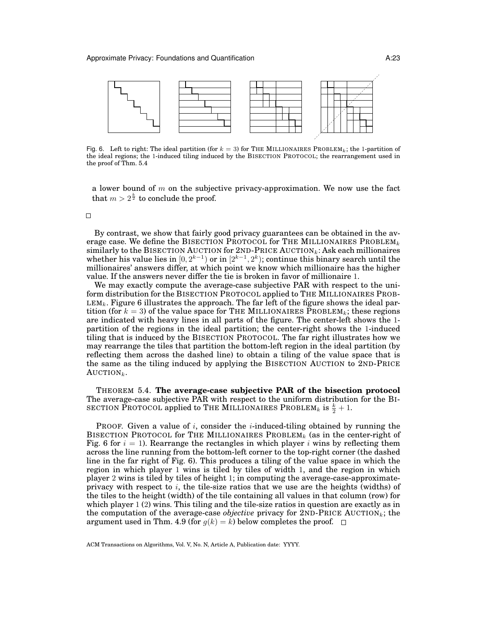

Fig. 6. Left to right: The ideal partition (for  $k = 3$ ) for THE MILLIONAIRES PROBLEM<sub>k</sub>; the 1-partition of the ideal regions; the 1-induced tiling induced by the BISECTION PROTOCOL; the rearrangement used in the proof of Thm. 5.4

a lower bound of  $m$  on the subjective privacy-approximation. We now use the fact that  $m > 2^{\frac{k}{2}}$  to conclude the proof.

 $\Box$ 

By contrast, we show that fairly good privacy guarantees can be obtained in the average case. We define the BISECTION PROTOCOL for THE MILLIONAIRES PROBLEM<sub>k</sub> similarly to the BISECTION AUCTION for  $2ND-PRICE AUCTION_k$ : Ask each millionaires whether his value lies in  $[0, 2^{k-1})$  or in  $[2^{k-1}, 2^k)$ ; continue this binary search until the millionaires' answers differ, at which point we know which millionaire has the higher value. If the answers never differ the tie is broken in favor of millionaire 1.

We may exactly compute the average-case subjective PAR with respect to the uniform distribution for the BISECTION PROTOCOL applied to THE MILLIONAIRES PROB-LEM<sub>k</sub>. Figure 6 illustrates the approach. The far left of the figure shows the ideal partition (for  $k = 3$ ) of the value space for THE MILLIONAIRES PROBLEM<sub>k</sub>; these regions are indicated with heavy lines in all parts of the figure. The center-left shows the 1 partition of the regions in the ideal partition; the center-right shows the 1-induced tiling that is induced by the BISECTION PROTOCOL. The far right illustrates how we may rearrange the tiles that partition the bottom-left region in the ideal partition (by reflecting them across the dashed line) to obtain a tiling of the value space that is the same as the tiling induced by applying the BISECTION AUCTION to 2ND-PRICE  $\text{AUCTION}_k$ .

THEOREM 5.4. **The average-case subjective PAR of the bisection protocol** The average-case subjective PAR with respect to the uniform distribution for the BI-SECTION PROTOCOL applied to THE MILLIONAIRES PROBLEM<sub>k</sub> is  $\frac{k}{2} + 1$ .

**PROOF.** Given a value of i, consider the *i*-induced-tiling obtained by running the BISECTION PROTOCOL for THE MILLIONAIRES  $PROBLEM<sub>k</sub>$  (as in the center-right of Fig. 6 for  $i = 1$ ). Rearrange the rectangles in which player i wins by reflecting them across the line running from the bottom-left corner to the top-right corner (the dashed line in the far right of Fig. 6). This produces a tiling of the value space in which the region in which player 1 wins is tiled by tiles of width 1, and the region in which player 2 wins is tiled by tiles of height 1; in computing the average-case-approximateprivacy with respect to  $i$ , the tile-size ratios that we use are the heights (widths) of the tiles to the height (width) of the tile containing all values in that column (row) for which player 1 (2) wins. This tiling and the tile-size ratios in question are exactly as in the computation of the average-case *objective* privacy for  $2ND-PRICE AUCTION_k$ ; the argument used in Thm. 4.9 (for  $g(k) = k$ ) below completes the proof.  $\Box$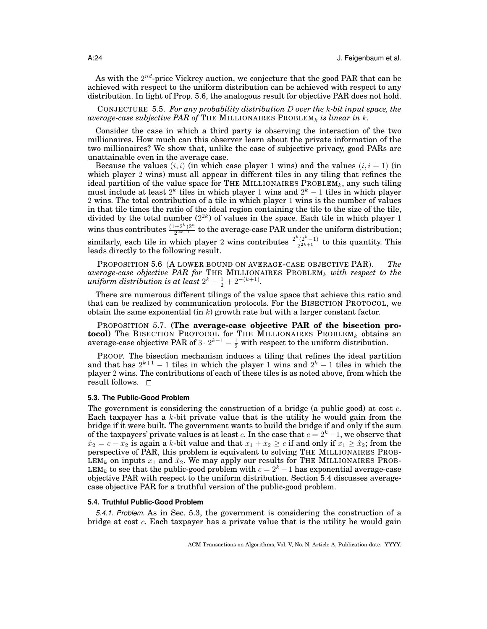As with the  $2^{nd}$ -price Vickrey auction, we conjecture that the good PAR that can be achieved with respect to the uniform distribution can be achieved with respect to any distribution. In light of Prop. 5.6, the analogous result for objective PAR does not hold.

CONJECTURE 5.5. *For any probability distribution* D *over the* k*-bit input space, the*  $average-case$  *subjective PAR of* THE MILLIONAIRES  $PROBLEM<sub>k</sub>$  *is linear in*  $k$ *.* 

Consider the case in which a third party is observing the interaction of the two millionaires. How much can this observer learn about the private information of the two millionaires? We show that, unlike the case of subjective privacy, good PARs are unattainable even in the average case.

Because the values  $(i, i)$  (in which case player 1 wins) and the values  $(i, i + 1)$  (in which player 2 wins) must all appear in different tiles in any tiling that refines the ideal partition of the value space for THE MILLIONAIRES  $PROBLEM_{k}$ , any such tiling must include at least  $2^k$  tiles in which player 1 wins and  $2^k - 1$  tiles in which player 2 wins. The total contribution of a tile in which player 1 wins is the number of values in that tile times the ratio of the ideal region containing the tile to the size of the tile, divided by the total number  $(2^{2k})$  of values in the space. Each tile in which player 1 wins thus contributes  $\frac{(1+2^k)2^k}{22k+1}$  $\frac{+2}{2^{2k+1}}$  to the average-case PAR under the uniform distribution; similarly, each tile in which player 2 wins contributes  $\frac{2^k(2^k-1)}{2^{2k+1}}$  $\frac{(2^{n}-1)}{2^{2k+1}}$  to this quantity. This leads directly to the following result.

PROPOSITION 5.6 (A LOWER BOUND ON AVERAGE-CASE OBJECTIVE PAR). *The*  $average\text{-}case\ objective\ PAR\ for\ THE\ MILIONAIRES\ PROBLEM\,\ with\ respect\ to\ the$ *uniform distribution is at least*  $2^k - \frac{1}{2} + 2^{-(k+1)}$ *.* 

There are numerous different tilings of the value space that achieve this ratio and that can be realized by communication protocols. For the BISECTION PROTOCOL, we obtain the same exponential (in k) growth rate but with a larger constant factor.

PROPOSITION 5.7. **(The average-case objective PAR of the bisection protocol)** The BISECTION PROTOCOL for THE MILLIONAIRES  $\text{PROBLEM}_{k}$  obtains an average-case objective PAR of  $3 \cdot 2^{k-1} - \frac{1}{2}$  with respect to the uniform distribution.

PROOF. The bisection mechanism induces a tiling that refines the ideal partition and that has  $2^{k+1} - 1$  tiles in which the player 1 wins and  $2^{k} - 1$  tiles in which the player 2 wins. The contributions of each of these tiles is as noted above, from which the result follows.  $\Box$ 

## **5.3. The Public-Good Problem**

The government is considering the construction of a bridge (a public good) at cost  $c$ . Each taxpayer has a  $k$ -bit private value that is the utility he would gain from the bridge if it were built. The government wants to build the bridge if and only if the sum of the taxpayers' private values is at least c. In the case that  $c = 2<sup>k</sup> - 1$ , we observe that  $\hat{x}_2 = c - x_2$  is again a k-bit value and that  $x_1 + x_2 \geq c$  if and only if  $x_1 \geq \hat{x}_2$ ; from the perspective of PAR, this problem is equivalent to solving THE MILLIONAIRES PROB-LEM<sub>k</sub> on inputs  $x_1$  and  $\hat{x}_2$ . We may apply our results for THE MILLIONAIRES PROB-LEM<sub>k</sub> to see that the public-good problem with  $c = 2<sup>k</sup> - 1$  has exponential average-case objective PAR with respect to the uniform distribution. Section 5.4 discusses averagecase objective PAR for a truthful version of the public-good problem.

### **5.4. Truthful Public-Good Problem**

*5.4.1. Problem.* As in Sec. 5.3, the government is considering the construction of a bridge at cost  $c$ . Each taxpayer has a private value that is the utility he would gain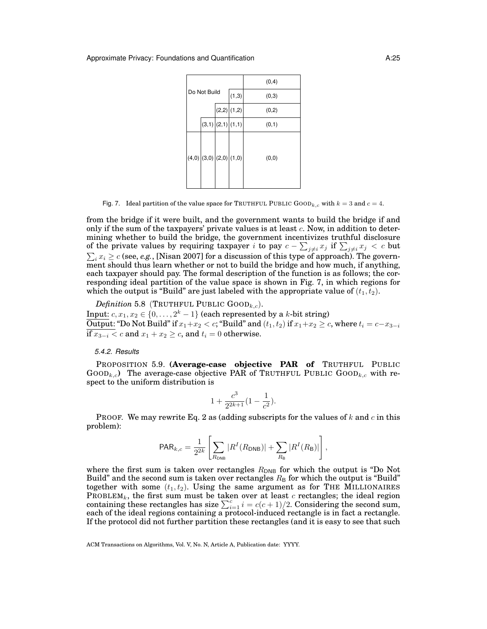|              |  |                         |                           | (0,4) |
|--------------|--|-------------------------|---------------------------|-------|
| Do Not Build |  |                         | (1,3)                     | (0,3) |
|              |  |                         | $(2,2)$ (1,2)             | (0,2) |
|              |  | $(3,1)$ $(2,1)$ $(1,1)$ |                           | (0,1) |
|              |  |                         | $(4,0)$ (3,0) (2,0) (1,0) | (0,0) |

Fig. 7. Ideal partition of the value space for TRUTHFUL PUBLIC  $\text{GOOD}_{k,c}$  with  $k = 3$  and  $c = 4$ .

from the bridge if it were built, and the government wants to build the bridge if and only if the sum of the taxpayers' private values is at least  $c$ . Now, in addition to determining whether to build the bridge, the government incentivizes truthful disclosure of the private values by requiring taxpayer i to pay  $c - \sum_{j \neq i} x_j$  if  $\sum_{j \neq i} x_j < c$  but  $\sum_i x_i \geq c$  (see, *e.g.*, [Nisan 2007] for a discussion of this type of approach). The government should thus learn whether or not to build the bridge and how much, if anything, each taxpayer should pay. The formal description of the function is as follows; the corresponding ideal partition of the value space is shown in Fig. 7, in which regions for which the output is "Build" are just labeled with the appropriate value of  $(t_1, t_2)$ .

# *Definition* 5.8 (TRUTHFUL PUBLIC  $GOOD_{k,c}$ ).

Input:  $c, x_1, x_2 \in \{0, \ldots, 2^k - 1\}$  (each represented by a  $k$ -bit string) Output: "Do Not Build" if  $x_1+x_2 < c$ ; "Build" and  $(t_1,t_2)$  if  $x_1+x_2 \geq c,$  where  $t_i = c-x_{3-i}$ if  $x_{3-i} < c$  and  $x_1 + x_2 ≥ c$ , and  $t_i = 0$  otherwise.

## *5.4.2. Results*

PROPOSITION 5.9. **(Average-case objective PAR of** TRUTHFUL PUBLIC GOOD<sub>k,c</sub>) The average-case objective PAR of TRUTHFUL PUBLIC GOOD<sub>k,c</sub> with respect to the uniform distribution is

$$
1+\frac{c^3}{2^{2k+1}}(1-\frac{1}{c^2}).
$$

PROOF. We may rewrite Eq. 2 as (adding subscripts for the values of  $k$  and  $c$  in this problem):

$$
\mathsf{PAR}_{k,c} = \frac{1}{2^{2k}} \left[ \sum_{R_{\mathsf{DNB}}} |R^I(R_{\mathsf{DNB}})| + \sum_{R_{\mathsf{B}}} |R^I(R_{\mathsf{B}})| \right],
$$

where the first sum is taken over rectangles  $R_{\text{DNB}}$  for which the output is "Do Not Build" and the second sum is taken over rectangles  $R_\text{B}$  for which the output is "Build" together with some  $(t_1, t_2)$ . Using the same argument as for THE MILLIONAIRES PROBLEM<sub>k</sub>, the first sum must be taken over at least  $c$  rectangles; the ideal region containing these rectangles has size  $\sum_{i=1}^{c} i = c(c+1)/2$ . Considering the second sum, each of the ideal regions containing a protocol-induced rectangle is in fact a rectangle. If the protocol did not further partition these rectangles (and it is easy to see that such

ACM Transactions on Algorithms, Vol. V, No. N, Article A, Publication date: YYYY.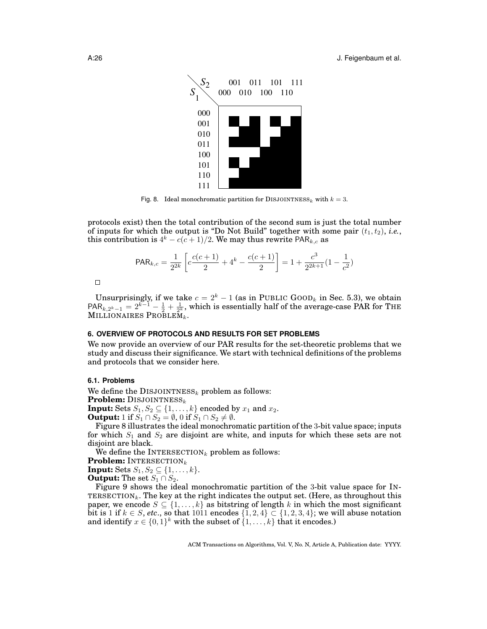

Fig. 8. Ideal monochromatic partition for DISJOINTNESS<sub>k</sub> with  $k = 3$ .

protocols exist) then the total contribution of the second sum is just the total number of inputs for which the output is "Do Not Build" together with some pair  $(t_1, t_2)$ , *i.e.*, this contribution is  $4^k - c(c+1)/2$ . We may thus rewrite PAR<sub>k,c</sub> as

$$
\text{PAR}_{k,c} = \frac{1}{2^{2k}} \left[ c \frac{c(c+1)}{2} + 4^k - \frac{c(c+1)}{2} \right] = 1 + \frac{c^3}{2^{2k+1}} (1 - \frac{1}{c^2})
$$

 $\Box$ 

Unsurprisingly, if we take  $c = 2^k - 1$  (as in PUBLIC GOOD<sub>k</sub> in Sec. 5.3), we obtain  $PAR_{k,2^{k}-1} = 2^{k-1} - \frac{1}{2} + \frac{1}{2^{k}}$ , which is essentially half of the average-case PAR for THE MILLIONAIRES PROBLEM<sub>k</sub>.

### **6. OVERVIEW OF PROTOCOLS AND RESULTS FOR SET PROBLEMS**

We now provide an overview of our PAR results for the set-theoretic problems that we study and discuss their significance. We start with technical definitions of the problems and protocols that we consider here.

## **6.1. Problems**

We define the DISJOINTNESS<sub>k</sub> problem as follows: **Problem:** DISJOINTNESS<sup>k</sup> **Input:** Sets  $S_1, S_2 \subseteq \{1, ..., k\}$  encoded by  $x_1$  and  $x_2$ . **Output:** 1 if  $S_1 \cap S_2 = \emptyset$ , 0 if  $S_1 \cap S_2 \neq \emptyset$ .

Figure 8 illustrates the ideal monochromatic partition of the 3-bit value space; inputs for which  $S_1$  and  $S_2$  are disjoint are white, and inputs for which these sets are not disjoint are black.

We define the INTERSECTION<sub>k</sub> problem as follows:

### **Problem:** INTERSECTION<sub>k</sub>

**Input:** Sets  $S_1, S_2 \subseteq \{1, \ldots, k\}.$ 

**Output:** The set  $S_1 \cap S_2$ .

Figure 9 shows the ideal monochromatic partition of the 3-bit value space for IN-TERSECTION<sub>k</sub>. The key at the right indicates the output set. (Here, as throughout this paper, we encode  $S \subseteq \{1, \ldots, k\}$  as bitstring of length k in which the most significant bit is 1 if  $k \in S$ , *etc.*, so that 1011 encodes  $\{1, 2, 4\} \subset \{1, 2, 3, 4\}$ ; we will abuse notation and identify  $x \in \{0,1\}^k$  with the subset of  $\{1, \ldots, k\}$  that it encodes.)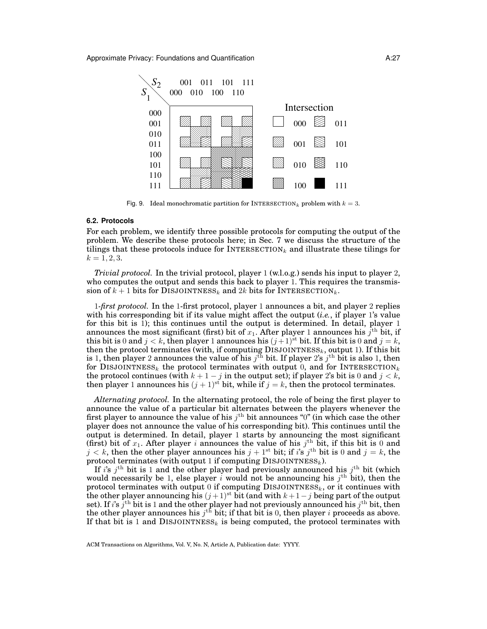Approximate Privacy: Foundations and Quantification A:27 A:27



Fig. 9. Ideal monochromatic partition for INTERSECTION<sub>k</sub> problem with  $k = 3$ .

### **6.2. Protocols**

For each problem, we identify three possible protocols for computing the output of the problem. We describe these protocols here; in Sec. 7 we discuss the structure of the tilings that these protocols induce for  $\text{INTERSECTION}_k$  and illustrate these tilings for  $k = 1, 2, 3.$ 

*Trivial protocol.* In the trivial protocol, player 1 (w.l.o.g.) sends his input to player 2, who computes the output and sends this back to player 1. This requires the transmission of  $k + 1$  bits for DISJOINTNESS<sub>k</sub> and 2k bits for INTERSECTION<sub>k</sub>.

1*-first protocol.* In the 1-first protocol, player 1 announces a bit, and player 2 replies with his corresponding bit if its value might affect the output (*i.e.*, if player 1's value for this bit is 1); this continues until the output is determined. In detail, player 1 announces the most significant (first) bit of  $x_1$ . After player 1 announces his  $\bar{j}^{\text{th}}$  bit, if this bit is 0 and  $j < k$ , then player 1 announces his  $(j+1)$ <sup>st</sup> bit. If this bit is 0 and  $j = k$ , then the protocol terminates (with, if computing  $\widetilde{DISJOINTNESS}_{k}$ , output 1). If this bit is 1, then player 2 announces the value of his  $j^{\text{th}}$  bit. If player 2's  $j^{\text{th}}$  bit is also 1, then for DISJOINTNESS<sub>k</sub> the protocol terminates with output 0, and for INTERSECTION<sub>k</sub> the protocol continues (with  $k + 1 - j$  in the output set); if player 2's bit is 0 and  $j < k$ , then player 1 announces his  $(j + 1)$ <sup>st</sup> bit, while if  $j = k$ , then the protocol terminates.

*Alternating protocol.* In the alternating protocol, the role of being the first player to announce the value of a particular bit alternates between the players whenever the first player to announce the value of his  $j^{\text{th}}$  bit announces "0" (in which case the other player does not announce the value of his corresponding bit). This continues until the output is determined. In detail, player 1 starts by announcing the most significant (first) bit of  $x_1$ . After player i announces the value of his j<sup>th</sup> bit, if this bit is 0 and  $j < k$ , then the other player announces his  $j + 1<sup>st</sup>$  bit; if is j<sup>th</sup> bit is 0 and  $j = k$ , the protocol terminates (with output 1 if computing  $DISJOINTNESS_{k}$ ).

If i's j<sup>th</sup> bit is 1 and the other player had previously announced his j<sup>th</sup> bit (which would necessarily be 1, else player i would not be announcing his  $j<sup>th</sup>$  bit), then the protocol terminates with output 0 if computing DISJOINTNESS<sub>k</sub>, or it continues with the other player announcing his  $(j+1)$ <sup>st</sup> bit (and with  $k+1-j$  being part of the output set). If  $i$ 's  $\bar{j}^{\rm th}$  bit is 1 and the other player had not previously announced his  $j^{\rm th}$  bit, then the other player announces his  $j^{\text{th}}$  bit; if that bit is 0, then player i proceeds as above. If that bit is 1 and DISJOINTNESS<sub>k</sub> is being computed, the protocol terminates with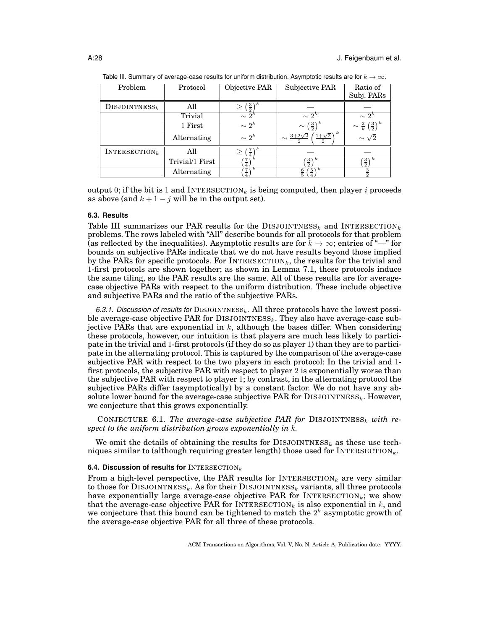### A:28 J. Feigenbaum et al.

| Problem                   | Protocol        | Objective PAR             | Subjective PAR                                                            | Ratio of<br>Subj. PARs   |
|---------------------------|-----------------|---------------------------|---------------------------------------------------------------------------|--------------------------|
| $DISJOINTNESS_k$          | All             | $\kappa$<br>$\frac{3}{2}$ |                                                                           |                          |
|                           | Trivial         | $\sim 2^k$                | $\sim 2^k$                                                                | $\sim 2^k$               |
|                           | 1 First         | $\sim 2^k$                | 3<br>$\sim$                                                               | $\overline{3}$<br>$\sim$ |
|                           | Alternating     | $\sim 2^k$                | $\sqrt{2}$<br>$\sim \frac{3+2\sqrt{2}}{2}$<br>$\mathcal{D}_{\mathcal{L}}$ | $\sim \sqrt{2}$          |
| INTERSECTION <sub>k</sub> | All             | $\kappa$                  |                                                                           |                          |
|                           | Trivial/1 First |                           | 3                                                                         | $\frac{3}{2}$            |
|                           | Alternating     | $\kappa$                  | k.<br>5                                                                   |                          |

Table III. Summary of average-case results for uniform distribution. Asymptotic results are for  $k \to \infty$ .

output 0; if the bit is 1 and INTERSECTION<sub>k</sub> is being computed, then player *i* proceeds as above (and  $k + 1 - j$  will be in the output set).

### **6.3. Results**

Table III summarizes our PAR results for the DISJOINTNESS<sub>k</sub> and INTERSECTION<sub>k</sub> problems. The rows labeled with "All" describe bounds for all protocols for that problem (as reflected by the inequalities). Asymptotic results are for  $k \to \infty$ ; entries of "—" for bounds on subjective PARs indicate that we do not have results beyond those implied by the PARs for specific protocols. For INTERSECTION<sub>k</sub>, the results for the trivial and 1-first protocols are shown together; as shown in Lemma 7.1, these protocols induce the same tiling, so the PAR results are the same. All of these results are for averagecase objective PARs with respect to the uniform distribution. These include objective and subjective PARs and the ratio of the subjective PARs.

*6.3.1. Discussion of results for* DISJOINTNESSk*.* All three protocols have the lowest possible average-case objective PAR for  $DISJOINTNESS_k$ . They also have average-case subjective PARs that are exponential in  $k$ , although the bases differ. When considering these protocols, however, our intuition is that players are much less likely to participate in the trivial and 1-first protocols (if they do so as player 1) than they are to participate in the alternating protocol. This is captured by the comparison of the average-case subjective PAR with respect to the two players in each protocol: In the trivial and 1 first protocols, the subjective PAR with respect to player 2 is exponentially worse than the subjective PAR with respect to player 1; by contrast, in the alternating protocol the subjective PARs differ (asymptotically) by a constant factor. We do not have any absolute lower bound for the average-case subjective PAR for  $DISJOINTNESS_k$ . However, we conjecture that this grows exponentially.

CONJECTURE 6.1. The average-case subjective PAR for  $\text{DISJOINTNESS}_k$  with re*spect to the uniform distribution grows exponentially in* k*.*

We omit the details of obtaining the results for DISJOINTNESS<sub>k</sub> as these use techniques similar to (although requiring greater length) those used for  $INTERSECTION<sub>k</sub>$ .

## **6.4. Discussion of results for INTERSECTION** $_k$

From a high-level perspective, the PAR results for INTERSECTION<sub>k</sub> are very similar to those for DISJOINTNESS<sub>k</sub>. As for their DISJOINTNESS<sub>k</sub> variants, all three protocols have exponentially large average-case objective PAR for INTERSECTION<sub>k</sub>; we show that the average-case objective PAR for INTERSECTION<sub>k</sub> is also exponential in k, and we conjecture that this bound can be tightened to match the  $2^k$  asymptotic growth of the average-case objective PAR for all three of these protocols.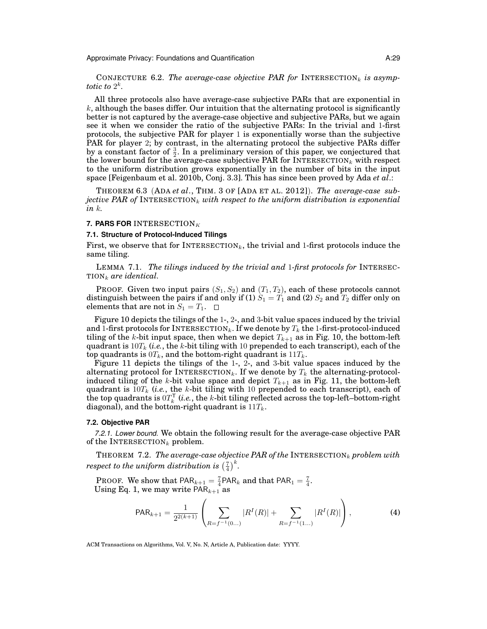Approximate Privacy: Foundations and Quantification A:29 A:29

CONJECTURE 6.2. The average-case objective PAR for INTERSECTION<sub>k</sub> is asymp*totic to*  $2^k$ .

All three protocols also have average-case subjective PARs that are exponential in  $k$ , although the bases differ. Our intuition that the alternating protocol is significantly better is not captured by the average-case objective and subjective PARs, but we again see it when we consider the ratio of the subjective PARs: In the trivial and 1-first protocols, the subjective PAR for player 1 is exponentially worse than the subjective PAR for player 2; by contrast, in the alternating protocol the subjective PARs differ by a constant factor of  $\frac{3}{2}$ . In a preliminary version of this paper, we conjectured that the lower bound for the average-case subjective PAR for  $INTERSECTION_k$  with respect to the uniform distribution grows exponentially in the number of bits in the input space [Feigenbaum et al. 2010b, Conj. 3.3]. This has since been proved by Ada *et al*.:

THEOREM 6.3 (ADA *et al*., THM. 3 OF [ADA ET AL. 2012]). *The average-case subjective PAR of* INTERSECTION<sub>k</sub> with respect to the uniform distribution is exponential *in* k*.*

## **7. PARS FOR INTERSECTION**K

## **7.1. Structure of Protocol-Induced Tilings**

First, we observe that for INTERSECTION<sub>k</sub>, the trivial and 1-first protocols induce the same tiling.

LEMMA 7.1. *The tilings induced by the trivial and* 1*-first protocols for* INTERSEC- $TION_k$  *are identical.* 

PROOF. Given two input pairs  $(S_1, S_2)$  and  $(T_1, T_2)$ , each of these protocols cannot distinguish between the pairs if and only if (1)  $S_1 = T_1$  and (2)  $S_2$  and  $T_2$  differ only on elements that are not in  $S_1 = T_1$ .  $\Box$ 

Figure 10 depicts the tilings of the 1-, 2-, and 3-bit value spaces induced by the trivial and 1-first protocols for INTERSECTION<sub>k</sub>. If we denote by  $T_k$  the 1-first-protocol-induced tiling of the k-bit input space, then when we depict  $T_{k+1}$  as in Fig. 10, the bottom-left quadrant is  $10T_k$  (*i.e.*, the k-bit tiling with 10 prepended to each transcript), each of the top quadrants is  $0T_k$ , and the bottom-right quadrant is  $11T_k$ .

Figure 11 depicts the tilings of the 1-, 2-, and 3-bit value spaces induced by the alternating protocol for INTERSECTION<sub>k</sub>. If we denote by  $T_k$  the alternating-protocolinduced tiling of the k-bit value space and depict  $T_{k+1}$  as in Fig. 11, the bottom-left quadrant is  $10T_k$  (*i.e.*, the k-bit tiling with 10 prepended to each transcript), each of the top quadrants is  $0T_k^\mathsf{T}$  (*i.e.*, the *k*-bit tiling reflected across the top-left–bottom-right diagonal), and the bottom-right quadrant is  $11T_k$ .

### **7.2. Objective PAR**

*7.2.1. Lower bound.* We obtain the following result for the average-case objective PAR of the INTERSECTION<sub>k</sub> problem.

THEOREM 7.2. *The average-case objective PAR of the* INTERSECTION<sup>k</sup> *problem with*  $\emph{respect to the uniform distribution is \left(\frac{7}{4}\right)^k}.$ 

**PROOF.** We show that  $PAR_{k+1} = \frac{7}{4}PAR_k$  and that  $PAR_1 = \frac{7}{4}$ . Using Eq. 1, we may write  $PAR_{k+1}$  as

$$
\text{PAR}_{k+1} = \frac{1}{2^{2(k+1)}} \left( \sum_{R=f^{-1}(0...)} |R^I(R)| + \sum_{R=f^{-1}(1...)} |R^I(R)| \right),\tag{4}
$$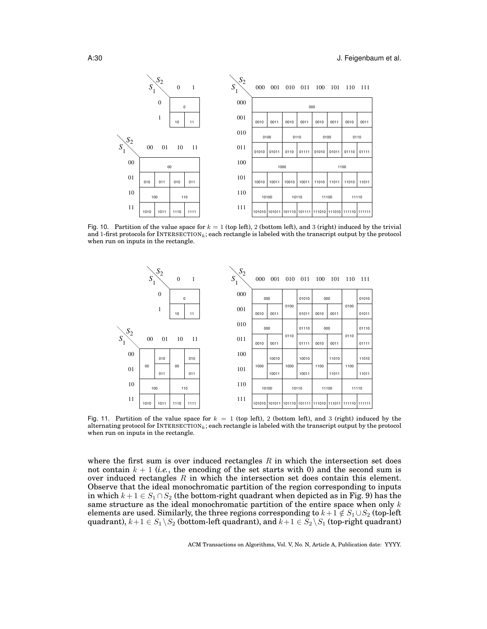### A:30 **J. Feigenbaum et al.**



Fig. 10. Partition of the value space for  $k = 1$  (top left), 2 (bottom left), and 3 (right) induced by the trivial and 1-first protocols for  $INTERSECTION_k$ ; each rectangle is labeled with the transcript output by the protocol when run on inputs in the rectangle.



Fig. 11. Partition of the value space for  $k = 1$  (top left), 2 (bottom left), and 3 (right) induced by the alternating protocol for  $\text{INTERSECTION}_k$ ; each rectangle is labeled with the transcript output by the protocol when run on inputs in the rectangle.

where the first sum is over induced rectangles  $R$  in which the intersection set does not contain  $k + 1$  (*i.e.*, the encoding of the set starts with 0) and the second sum is over induced rectangles  $R$  in which the intersection set does contain this element. Observe that the ideal monochromatic partition of the region corresponding to inputs in which  $k + 1 \in S_1 \cap S_2$  (the bottom-right quadrant when depicted as in Fig. 9) has the same structure as the ideal monochromatic partition of the entire space when only  $k$ elements are used. Similarly, the three regions corresponding to  $k+1 \notin S_1 \cup S_2$  (top-left quadrant),  $k+1 \in S_1 \backslash S_2$  (bottom-left quadrant), and  $k+1 \in S_2 \backslash S_1$  (top-right quadrant)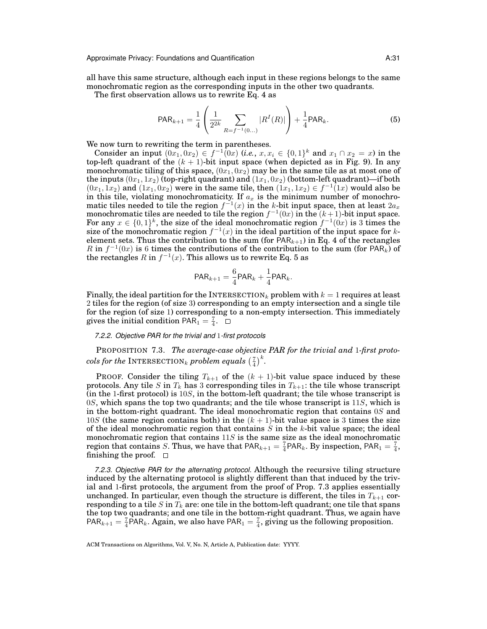all have this same structure, although each input in these regions belongs to the same monochromatic region as the corresponding inputs in the other two quadrants.

The first observation allows us to rewrite Eq. 4 as

$$
\text{PAR}_{k+1} = \frac{1}{4} \left( \frac{1}{2^{2k}} \sum_{R=f^{-1}(0...)} |R^I(R)| \right) + \frac{1}{4} \text{PAR}_k. \tag{5}
$$

We now turn to rewriting the term in parentheses.

Consider an input  $(0x_1, 0x_2) \in f^{-1}(0x)$  (*i.e.*,  $x, x_i \in \{0, 1\}^k$  and  $x_1 \cap x_2 = x$ ) in the top-left quadrant of the  $(k + 1)$ -bit input space (when depicted as in Fig. 9). In any monochromatic tiling of this space,  $(0x_1, 0x_2)$  may be in the same tile as at most one of the inputs  $(0x_1, 1x_2)$  (top-right quadrant) and  $(1x_1, 0x_2)$  (bottom-left quadrant)—if both  $(0x_1, 1x_2)$  and  $(1x_1, 0x_2)$  were in the same tile, then  $(1x_1, 1x_2) \in f^{-1}(1x)$  would also be in this tile, violating monochromaticity. If  $a_x$  is the minimum number of monochromatic tiles needed to tile the region  $f^{-1}(x)$  in the  $k$ -bit input space, then at least  $2a_x$ monochromatic tiles are needed to tile the region  $f^{-1}(0x)$  in the  $(k+1)$ -bit input space. For any  $x \in \{0,1\}^k$ , the size of the ideal monochromatic region  $f^{-1}(0x)$  is 3 times the size of the monochromatic region  $f^{-1}(x)$  in the ideal partition of the input space for kelement sets. Thus the contribution to the sum (for  $PAR_{k+1}$ ) in Eq. 4 of the rectangles R in  $f^{-1}(0x)$  is 6 times the contributions of the contribution to the sum (for PAR<sub>k</sub>) of the rectangles R in  $f^{-1}(x)$ . This allows us to rewrite Eq. 5 as

$$
\text{PAR}_{k+1} = \frac{6}{4} \text{PAR}_k + \frac{1}{4} \text{PAR}_k.
$$

Finally, the ideal partition for the INTERSECTION<sub>k</sub> problem with  $k = 1$  requires at least 2 tiles for the region (of size 3) corresponding to an empty intersection and a single tile for the region (of size 1) corresponding to a non-empty intersection. This immediately gives the initial condition  $\text{PAR}_1 = \frac{7}{4}$ .

# *7.2.2. Objective PAR for the trivial and* 1*-first protocols*

PROPOSITION 7.3. *The average-case objective PAR for the trivial and* 1*-first proto-* ${cols}$  for the <code>INTERSECTION</code>  $_{k}$  problem equals  $\left( \frac{7}{4}\right) ^{k}$ .

PROOF. Consider the tiling  $T_{k+1}$  of the  $(k + 1)$ -bit value space induced by these protocols. Any tile S in  $T_k$  has 3 corresponding tiles in  $T_{k+1}$ : the tile whose transcript  $(in the 1-first protocol)$  is  $10S$ , in the bottom-left quadrant; the tile whose transcript is  $0S$ , which spans the top two quadrants; and the tile whose transcript is  $11S$ , which is in the bottom-right quadrant. The ideal monochromatic region that contains  $0S$  and 10S (the same region contains both) in the  $(k + 1)$ -bit value space is 3 times the size of the ideal monochromatic region that contains  $S$  in the  $k$ -bit value space; the ideal monochromatic region that contains  $11S$  is the same size as the ideal monochromatic region that contains S. Thus, we have that  $\text{PAR}_{k+1} = \frac{7}{4} \text{PAR}_k$ . By inspection,  $\text{PAR}_1 = \frac{7}{4}$ , finishing the proof.  $\square$ 

*7.2.3. Objective PAR for the alternating protocol.* Although the recursive tiling structure induced by the alternating protocol is slightly different than that induced by the trivial and 1-first protocols, the argument from the proof of Prop. 7.3 applies essentially unchanged. In particular, even though the structure is different, the tiles in  $T_{k+1}$  corresponding to a tile S in  $T_k$  are: one tile in the bottom-left quadrant; one tile that spans the top two quadrants; and one tile in the bottom-right quadrant. Thus, we again have  $\text{PAR}_{k+1} = \frac{7}{4} \hat{\text{PAR}}_k$ . Again, we also have  $\text{PAR}_1 = \frac{7}{4}$ , giving us the following proposition.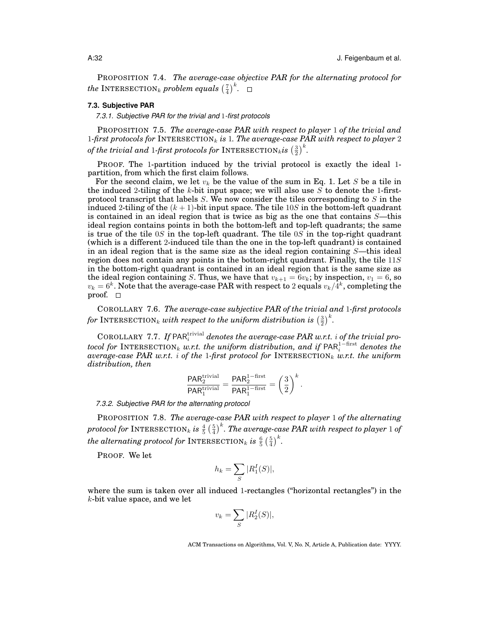PROPOSITION 7.4. *The average-case objective PAR for the alternating protocol for* the INTERSECTION<sub>k</sub> problem equals  $\big(\frac{7}{4}\big)^k$ .

# **7.3. Subjective PAR**

*7.3.1. Subjective PAR for the trivial and* 1*-first protocols*

PROPOSITION 7.5. *The average-case PAR with respect to player* 1 *of the trivial and*  $1$ -first protocols for INTERSECTION<sub>k</sub> is 1. The average-case PAR with respect to player 2 *of the trivial and 1-first protocols for*  $\text{INTERSECTION}_k$ *is*  $\left(\frac{3}{2}\right)^k$ .

PROOF. The 1-partition induced by the trivial protocol is exactly the ideal 1 partition, from which the first claim follows.

For the second claim, we let  $v_k$  be the value of the sum in Eq. 1. Let S be a tile in the induced 2-tiling of the k-bit input space; we will also use S to denote the 1-firstprotocol transcript that labels  $S$ . We now consider the tiles corresponding to  $S$  in the induced 2-tiling of the  $(k + 1)$ -bit input space. The tile 10S in the bottom-left quadrant is contained in an ideal region that is twice as big as the one that contains S—this ideal region contains points in both the bottom-left and top-left quadrants; the same is true of the tile  $0S$  in the top-left quadrant. The tile  $0S$  in the top-right quadrant (which is a different 2-induced tile than the one in the top-left quadrant) is contained in an ideal region that is the same size as the ideal region containing  $S$ —this ideal region does not contain any points in the bottom-right quadrant. Finally, the tile  $11S$ in the bottom-right quadrant is contained in an ideal region that is the same size as the ideal region containing S. Thus, we have that  $v_{k+1} = 6v_k$ ; by inspection,  $v_1 = 6$ , so  $v_k = 6^k$ . Note that the average-case PAR with respect to 2 equals  $v_k/4^k$ , completing the proof.  $\square$ 

COROLLARY 7.6. *The average-case subjective PAR of the trivial and* 1*-first protocols* for  $\text{INTERSECTION}_k$  with respect to the uniform distribution is  $\left(\frac{3}{2}\right)^k$ .

 $\text{COROLLARY 7.7.}$  If  $\text{PAR}_{i}^{\text{trivial}}$  denotes the average-case  $\text{PAR w.r.t. } i$  of the trivial pro- $\it total$  for  $\it In$ TERSECTION $_{k}$  w.r.t. the uniform distribution, and if  $\mathsf{PAR}_{i}^{\textrm{1-first}}$  denotes the  $average-case PAR w.r.t. i of the 1-first protocol for INTERSECTION<sub>k</sub> w.r.t. the uniform$ *distribution, then*

$$
\frac{\mathsf{PAR}_2^{\text{trivial}}}{\mathsf{PAR}_1^{\text{trivial}}} = \frac{\mathsf{PAR}_2^{1-\text{first}}}{\mathsf{PAR}_1^{1-\text{first}}} = \left(\frac{3}{2}\right)^k.
$$

### *7.3.2. Subjective PAR for the alternating protocol*

PROPOSITION 7.8. *The average-case PAR with respect to player* 1 *of the alternating* protocol for  $\operatorname{INTERSECTION}_k$  is  $\frac{4}{5}\left(\frac{5}{4}\right)^k$ . The average-case PAR with respect to player  $1$  of the alternating protocol for  $\text{INTERSECTION}_k$  is  $\frac{6}{5} \left(\frac{5}{4}\right)^k$ .

PROOF. We let

$$
h_k = \sum_{S} |R_1^I(S)|,
$$

where the sum is taken over all induced 1-rectangles ("horizontal rectangles") in the k-bit value space, and we let

$$
v_k = \sum_S |R_2^I(S)|,
$$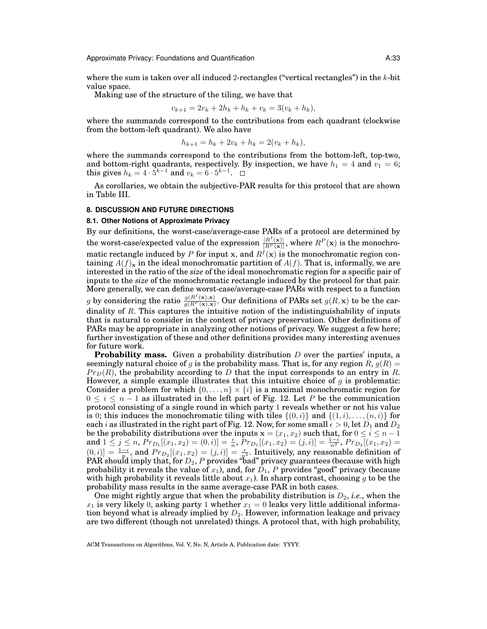Approximate Privacy: Foundations and Quantification A:33 A:33

where the sum is taken over all induced 2-rectangles ("vertical rectangles") in the k-bit value space.

Making use of the structure of the tiling, we have that

$$
v_{k+1} = 2v_k + 2h_k + h_k + v_k = 3(v_k + h_k),
$$

where the summands correspond to the contributions from each quadrant (clockwise from the bottom-left quadrant). We also have

$$
h_{k+1} = h_k + 2v_k + h_k = 2(v_k + h_k),
$$

where the summands correspond to the contributions from the bottom-left, top-two, and bottom-right quadrants, respectively. By inspection, we have  $h_1 = 4$  and  $v_1 = 6$ ; this gives  $h_k = 4 \cdot 5^{k-1}$  and  $v_k = 6 \cdot 5^{k-1}$ .

As corollaries, we obtain the subjective-PAR results for this protocol that are shown in Table III.

### **8. DISCUSSION AND FUTURE DIRECTIONS**

# **8.1. Other Notions of Approximate Privacy**

By our definitions, the worst-case/average-case PARs of a protocol are determined by the worst-case/expected value of the expression  $\frac{|R^I(\mathbf{x})|}{|R^P(\mathbf{x})|}$ , where  $R^P(\mathbf{x})$  is the monochromatic rectangle induced by P for input x, and  $R^I(\mathbf{x})$  is the monochromatic region containing  $A(f)_{\mathbf{x}}$  in the ideal monochromatic partition of  $A(f)$ . That is, informally, we are interested in the ratio of the *size* of the ideal monochromatic region for a specific pair of inputs to the *size* of the monochromatic rectangle induced by the protocol for that pair. More generally, we can define worst-case/average-case PARs with respect to a function g by considering the ratio  $\frac{g(R^I(\mathbf{x}), \mathbf{x})}{g(R^P(\mathbf{x}), \mathbf{x})}$ . Our definitions of PARs set  $g(R, \mathbf{x})$  to be the cardinality of  $R$ . This captures the intuitive notion of the indistinguishability of inputs that is natural to consider in the context of privacy preservation. Other definitions of PARs may be appropriate in analyzing other notions of privacy. We suggest a few here; further investigation of these and other definitions provides many interesting avenues for future work.

**Probability mass.** Given a probability distribution D over the parties' inputs, a seemingly natural choice of q is the probability mass. That is, for any region  $R$ ,  $q(R)$  =  $Pr_D(R)$ , the probability according to D that the input corresponds to an entry in R. However, a simple example illustrates that this intuitive choice of  $q$  is problematic: Consider a problem for which  $\{0, \ldots, n\} \times \{i\}$  is a maximal monochromatic region for  $0 \leq i \leq n-1$  as illustrated in the left part of Fig. 12. Let P be the communication protocol consisting of a single round in which party 1 reveals whether or not his value is 0; this induces the monochromatic tiling with tiles  $\{(0, i)\}\$  and  $\{(1, i), \ldots, (n, i)\}\$  for each i as illustrated in the right part of Fig. 12. Now, for some small  $\epsilon > 0$ , let  $D_1$  and  $D_2$ be the probability distributions over the inputs  $\mathbf{x} = (x_1, x_2)$  such that, for  $0 \leq i \leq n-1$ and  $1 \leq j \leq n$ ,  $Pr_{D_1}[(x_1, x_2) = (0, i)] = \frac{\epsilon}{n}$ ,  $Pr_{D_1}[(x_1, x_2) = (j, i)] = \frac{1 - \epsilon}{n^2}$ ,  $Pr_{D_2}[(x_1, x_2) = (0, i)]$  $(0, i)$ ] =  $\frac{1-\epsilon}{n}$ , and  $Pr_{D_2}[(x_1, x_2) = (j, i)] = \frac{\epsilon}{n^2}$ . Intuitively, any reasonable definition of PAR should imply that, for  $D_2, P$  provides "bad" privacy guarantees (because with high probability it reveals the value of  $x_1$ ), and, for  $D_1$ , P provides "good" privacy (because with high probability it reveals little about  $x_1$ ). In sharp contrast, choosing g to be the probability mass results in the same average-case PAR in both cases.

One might rightly argue that when the probability distribution is  $D_2$ , *i.e.*, when the  $x_1$  is very likely 0, asking party 1 whether  $x_1 = 0$  leaks very little additional information beyond what is already implied by  $D_2$ . However, information leakage and privacy are two different (though not unrelated) things. A protocol that, with high probability,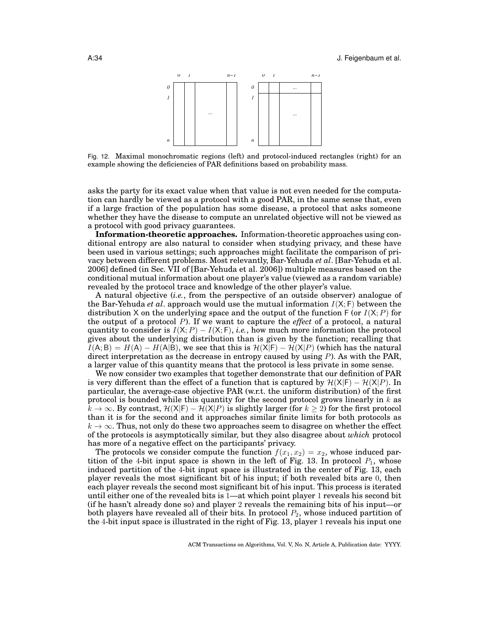#### A:34 J. Feigenbaum et al.



Fig. 12. Maximal monochromatic regions (left) and protocol-induced rectangles (right) for an example showing the deficiencies of PAR definitions based on probability mass.

asks the party for its exact value when that value is not even needed for the computation can hardly be viewed as a protocol with a good PAR, in the same sense that, even if a large fraction of the population has some disease, a protocol that asks someone whether they have the disease to compute an unrelated objective will not be viewed as a protocol with good privacy guarantees.

**Information-theoretic approaches.** Information-theoretic approaches using conditional entropy are also natural to consider when studying privacy, and these have been used in various settings; such approaches might facilitate the comparison of privacy between different problems. Most relevantly, Bar-Yehuda *et al*. [Bar-Yehuda et al. 2006] defined (in Sec. VII of [Bar-Yehuda et al. 2006]) multiple measures based on the conditional mutual information about one player's value (viewed as a random variable) revealed by the protocol trace and knowledge of the other player's value.

A natural objective (*i.e.*, from the perspective of an outside observer) analogue of the Bar-Yehuda *et al.* approach would use the mutual information  $I(X; F)$  between the distribution X on the underlying space and the output of the function  $F$  (or  $I(X; P)$  for the output of a protocol P). If we want to capture the *effect* of a protocol, a natural quantity to consider is  $I(X; P) - I(X; F)$ , *i.e.*, how much more information the protocol gives about the underlying distribution than is given by the function; recalling that  $I(A; B) = H(A) - H(A|B)$ , we see that this is  $H(X|F) - H(X|P)$  (which has the natural direct interpretation as the decrease in entropy caused by using  $P$ ). As with the PAR, a larger value of this quantity means that the protocol is less private in some sense.

We now consider two examples that together demonstrate that our definition of PAR is very different than the effect of a function that is captured by  $\mathcal{H}(X|F) - \mathcal{H}(X|P)$ . In particular, the average-case objective PAR (w.r.t. the uniform distribution) of the first protocol is bounded while this quantity for the second protocol grows linearly in  $k$  as  $k \to \infty$ . By contrast,  $\mathcal{H}(\mathsf{X}|\mathsf{F}) - \mathcal{H}(\mathsf{X}|\mathsf{P})$  is slightly larger (for  $k \geq 2$ ) for the first protocol than it is for the second and it approaches similar finite limits for both protocols as  $k \to \infty$ . Thus, not only do these two approaches seem to disagree on whether the effect of the protocols is asymptotically similar, but they also disagree about *which* protocol has more of a negative effect on the participants' privacy.

The protocols we consider compute the function  $f(x_1, x_2) = x_2$ , whose induced partition of the 4-bit input space is shown in the left of Fig. 13. In protocol  $P_1$ , whose induced partition of the 4-bit input space is illustrated in the center of Fig. 13, each player reveals the most significant bit of his input; if both revealed bits are 0, then each player reveals the second most significant bit of his input. This process is iterated until either one of the revealed bits is 1—at which point player 1 reveals his second bit (if he hasn't already done so) and player 2 reveals the remaining bits of his input—or both players have revealed all of their bits. In protocol  $P_2$ , whose induced partition of the 4-bit input space is illustrated in the right of Fig. 13, player 1 reveals his input one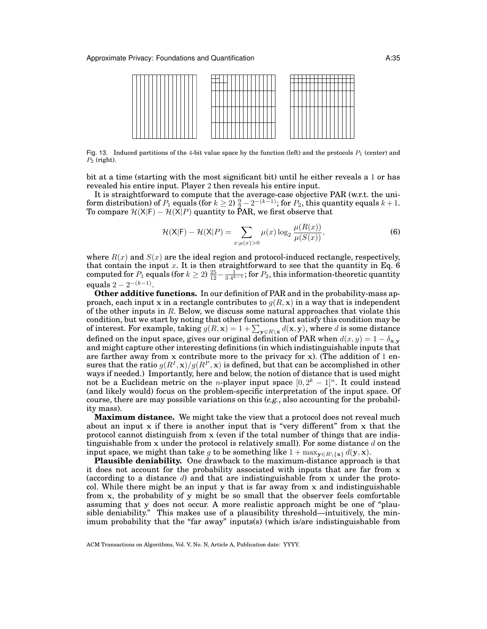Approximate Privacy: Foundations and Quantification A:35 A:35



Fig. 13. Induced partitions of the 4-bit value space by the function (left) and the protocols  $P_1$  (center) and  $P_2$  (right).

bit at a time (starting with the most significant bit) until he either reveals a 1 or has revealed his entire input. Player 2 then reveals his entire input.

It is straightforward to compute that the average-case objective PAR (w.r.t. the uniform distribution) of  $P_1$  equals (for  $k \ge 2$ )  $\frac{9}{2} - 2^{-(k-1)}$ ; for  $P_2$ , this quantity equals  $k+1$ . To compare  $\mathcal{H}(\mathsf{X}|\mathsf{F})-\mathcal{H}(\mathsf{X}|P)$  quantity to  $\mathsf{\tilde{P}AR},$  we first observe that

$$
\mathcal{H}(\mathsf{X}|\mathsf{F}) - \mathcal{H}(\mathsf{X}|P) = \sum_{x:\mu(x)>0} \mu(x) \log_2 \frac{\mu(R(x))}{\mu(S(x))},\tag{6}
$$

where  $R(x)$  and  $S(x)$  are the ideal region and protocol-induced rectangle, respectively, that contain the input x. It is then straightforward to see that the quantity in Eq. 6 computed for  $P_1$  equals (for  $k\geq 2)$   $\frac{25}{12}-\frac{1}{3\cdot 4^{k-1}};$  for  $P_2,$  this information-theoretic quantity equals  $2 - 2^{-(k-1)}$ .

**Other additive functions.** In our definition of PAR and in the probability-mass approach, each input x in a rectangle contributes to  $g(R, x)$  in a way that is independent of the other inputs in  $R$ . Below, we discuss some natural approaches that violate this condition, but we start by noting that other functions that satisfy this condition may be of interest. For example, taking  $g(R, \mathbf{x}) = 1 + \sum_{\mathbf{y} \in R \setminus \mathbf{x}} d(\mathbf{x}, \mathbf{y}),$  where  $d$  is some distance defined on the input space, gives our original definition of PAR when  $d(x, y) = 1 - \delta_{\mathbf{x}, \mathbf{y}}$ and might capture other interesting definitions (in which indistinguishable inputs that are farther away from x contribute more to the privacy for x). (The addition of 1 ensures that the ratio  $g(R^I, \mathbf{x})/g(R^P, \mathbf{x})$  is defined, but that can be accomplished in other ways if needed.) Importantly, here and below, the notion of distance that is used might not be a Euclidean metric on the *n*-player input space  $[0, 2<sup>k</sup> - 1]<sup>n</sup>$ . It could instead (and likely would) focus on the problem-specific interpretation of the input space. Of course, there are may possible variations on this (*e.g.*, also accounting for the probability mass).

**Maximum distance.** We might take the view that a protocol does not reveal much about an input  $x$  if there is another input that is "very different" from  $x$  that the protocol cannot distinguish from x (even if the total number of things that are indistinguishable from x under the protocol is relatively small). For some distance  $d$  on the input space, we might than take g to be something like  $1 + \max_{y \in R \setminus \{x\}} d(y, x)$ .

**Plausible deniability.** One drawback to the maximum-distance approach is that it does not account for the probability associated with inputs that are far from x (according to a distance  $d$ ) and that are indistinguishable from x under the protocol. While there might be an input y that is far away from x and indistinguishable from x, the probability of y might be so small that the observer feels comfortable assuming that y does not occur. A more realistic approach might be one of "plausible deniability." This makes use of a plausibility threshold—intuitively, the minimum probability that the "far away" inputs(s) (which is/are indistinguishable from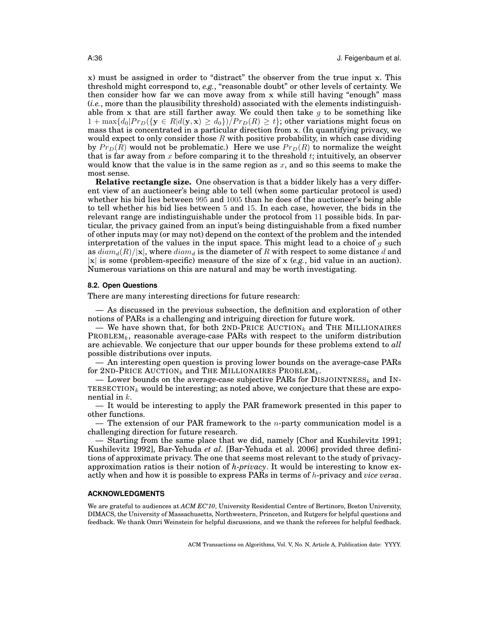x) must be assigned in order to "distract" the observer from the true input x. This threshold might correspond to, *e.g.*, "reasonable doubt" or other levels of certainty. We then consider how far we can move away from x while still having "enough" mass (*i.e.*, more than the plausibility threshold) associated with the elements indistinguishable from x that are still farther away. We could then take  $g$  to be something like  $1 + \max\{d_0|Pr_D(\{y \in R | d(y, x) \geq d_0\})/Pr_D(R) \geq t\}$ ; other variations might focus on mass that is concentrated in a particular direction from x. (In quantifying privacy, we would expect to only consider those  $R$  with positive probability, in which case dividing by  $Pr_D(R)$  would not be problematic.) Here we use  $Pr_D(R)$  to normalize the weight that is far away from  $x$  before comparing it to the threshold  $t$ ; intuitively, an observer would know that the value is in the same region as  $x$ , and so this seems to make the most sense.

**Relative rectangle size.** One observation is that a bidder likely has a very different view of an auctioneer's being able to tell (when some particular protocol is used) whether his bid lies between 995 and 1005 than he does of the auctioneer's being able to tell whether his bid lies between 5 and 15. In each case, however, the bids in the relevant range are indistinguishable under the protocol from 11 possible bids. In particular, the privacy gained from an input's being distinguishable from a fixed number of other inputs may (or may not) depend on the context of the problem and the intended interpretation of the values in the input space. This might lead to a choice of  $g$  such as  $diam_d(R)/|x|$ , where  $diam_d$  is the diameter of R with respect to some distance d and  $|x|$  is some (problem-specific) measure of the size of x (*e.g.*, bid value in an auction). Numerous variations on this are natural and may be worth investigating.

### **8.2. Open Questions**

There are many interesting directions for future research:

— As discussed in the previous subsection, the definition and exploration of other notions of PARs is a challenging and intriguing direction for future work.

— We have shown that, for both 2ND-PRICE  $\text{AUCTION}_k$  and THE MILLIONAIRES PROBLEM<sub>k</sub>, reasonable average-case PARs with respect to the uniform distribution are achievable. We conjecture that our upper bounds for these problems extend to *all* possible distributions over inputs.

— An interesting open question is proving lower bounds on the average-case PARs for 2ND-PRICE  $\text{AUCTION}_k$  and THE MILLIONAIRES PROBLEM<sub>k</sub>.

— Lower bounds on the average-case subjective PARs for DISJOINTNESS<sub>k</sub> and IN-TERSECTION<sub>k</sub> would be interesting; as noted above, we conjecture that these are exponential in  $k$ .

— It would be interesting to apply the PAR framework presented in this paper to other functions.

— The extension of our PAR framework to the *n*-party communication model is a challenging direction for future research.

— Starting from the same place that we did, namely [Chor and Kushilevitz 1991; Kushilevitz 1992], Bar-Yehuda *et al.* [Bar-Yehuda et al. 2006] provided three definitions of approximate privacy. The one that seems most relevant to the study of privacyapproximation ratios is their notion of *h-privacy*. It would be interesting to know exactly when and how it is possible to express PARs in terms of h-privacy and *vice versa*.

## **ACKNOWLEDGMENTS**

We are grateful to audiences at *ACM EC'10*, University Residential Centre of Bertinoro, Boston University, DIMACS, the University of Massachusetts, Northwestern, Princeton, and Rutgers for helpful questions and feedback. We thank Omri Weinstein for helpful discussions, and we thank the referees for helpful feedback.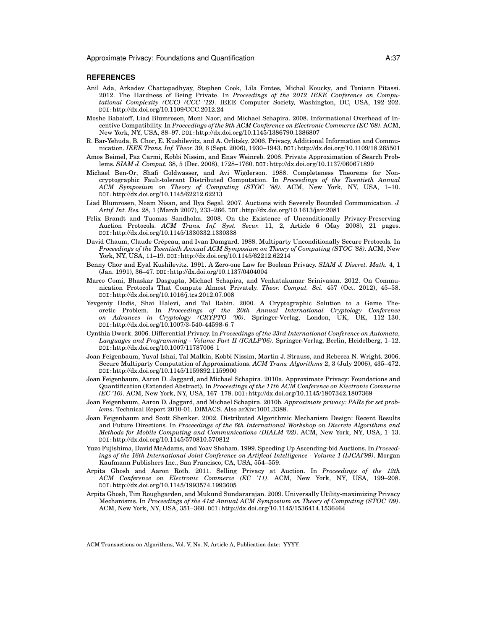### **REFERENCES**

- Anil Ada, Arkadev Chattopadhyay, Stephen Cook, Lila Fontes, Michal Koucky, and Toniann Pitassi. 2012. The Hardness of Being Private. In *Proceedings of the 2012 IEEE Conference on Computational Complexity (CCC) (CCC '12)*. IEEE Computer Society, Washington, DC, USA, 192–202. DOI:http://dx.doi.org/10.1109/CCC.2012.24
- Moshe Babaioff, Liad Blumrosen, Moni Naor, and Michael Schapira. 2008. Informational Overhead of Incentive Compatibility. In *Proceedings of the 9th ACM Conference on Electronic Commerce (EC '08)*. ACM, New York, NY, USA, 88–97. DOI:http://dx.doi.org/10.1145/1386790.1386807
- R. Bar-Yehuda, B. Chor, E. Kushilevitz, and A. Orlitsky. 2006. Privacy, Additional Information and Communication. *IEEE Trans. Inf. Theor.* 39, 6 (Sept. 2006), 1930–1943. DOI:http://dx.doi.org/10.1109/18.265501
- Amos Beimel, Paz Carmi, Kobbi Nissim, and Enav Weinreb. 2008. Private Approximation of Search Problems. *SIAM J. Comput.* 38, 5 (Dec. 2008), 1728–1760. DOI:http://dx.doi.org/10.1137/060671899
- Michael Ben-Or, Shafi Goldwasser, and Avi Wigderson. 1988. Completeness Theorems for Noncryptographic Fault-tolerant Distributed Computation. In *Proceedings of the Twentieth Annual ACM Symposium on Theory of Computing (STOC '88)*. ACM, New York, NY, USA, 1–10. DOI:http://dx.doi.org/10.1145/62212.62213
- Liad Blumrosen, Noam Nisan, and Ilya Segal. 2007. Auctions with Severely Bounded Communication. *J. Artif. Int. Res.* 28, 1 (March 2007), 233–266. DOI:http://dx.doi.org/10.1613/jair.2081
- Felix Brandt and Tuomas Sandholm. 2008. On the Existence of Unconditionally Privacy-Preserving Auction Protocols. *ACM Trans. Inf. Syst. Secur.* 11, 2, Article 6 (May 2008), 21 pages. DOI:http://dx.doi.org/10.1145/1330332.1330338
- David Chaum, Claude Crepeau, and Ivan Damgard. 1988. Multiparty Unconditionally Secure Protocols. In ´ *Proceedings of the Twentieth Annual ACM Symposium on Theory of Computing (STOC '88)*. ACM, New York, NY, USA, 11–19. DOI:http://dx.doi.org/10.1145/62212.62214
- Benny Chor and Eyal Kushilevitz. 1991. A Zero-one Law for Boolean Privacy. *SIAM J. Discret. Math.* 4, 1 (Jan. 1991), 36–47. DOI:http://dx.doi.org/10.1137/0404004
- Marco Comi, Bhaskar Dasgupta, Michael Schapira, and Venkatakumar Srinivasan. 2012. On Communication Protocols That Compute Almost Privately. *Theor. Comput. Sci.* 457 (Oct. 2012), 45–58. DOI:http://dx.doi.org/10.1016/j.tcs.2012.07.008
- Yevgeniy Dodis, Shai Halevi, and Tal Rabin. 2000. A Cryptographic Solution to a Game Theoretic Problem. In *Proceedings of the 20th Annual International Cryptology Conference on Advances in Cryptology (CRYPTO '00)*. Springer-Verlag, London, UK, UK, 112–130. DOI:http://dx.doi.org/10.1007/3-540-44598-6 7
- Cynthia Dwork. 2006. Differential Privacy. In *Proceedings of the 33rd International Conference on Automata, Languages and Programming - Volume Part II (ICALP'06)*. Springer-Verlag, Berlin, Heidelberg, 1–12. DOI:http://dx.doi.org/10.1007/11787006 1
- Joan Feigenbaum, Yuval Ishai, Tal Malkin, Kobbi Nissim, Martin J. Strauss, and Rebecca N. Wright. 2006. Secure Multiparty Computation of Approximations. *ACM Trans. Algorithms* 2, 3 (July 2006), 435–472. DOI:http://dx.doi.org/10.1145/1159892.1159900
- Joan Feigenbaum, Aaron D. Jaggard, and Michael Schapira. 2010a. Approximate Privacy: Foundations and Quantification (Extended Abstract). In *Proceedings of the 11th ACM Conference on Electronic Commerce (EC '10)*. ACM, New York, NY, USA, 167–178. DOI:http://dx.doi.org/10.1145/1807342.1807369
- Joan Feigenbaum, Aaron D. Jaggard, and Michael Schapira. 2010b. *Approximate privacy: PARs for set problems*. Technical Report 2010-01. DIMACS. Also arXiv:1001.3388.
- Joan Feigenbaum and Scott Shenker. 2002. Distributed Algorithmic Mechanism Design: Recent Results and Future Directions. In *Proceedings of the 6th International Workshop on Discrete Algorithms and Methods for Mobile Computing and Communications (DIALM '02)*. ACM, New York, NY, USA, 1–13. DOI:http://dx.doi.org/10.1145/570810.570812
- Yuzo Fujishima, David McAdams, and Yoav Shoham. 1999. Speeding Up Ascending-bid Auctions. In *Proceedings of the 16th International Joint Conference on Artifical Intelligence - Volume 1 (IJCAI'99)*. Morgan Kaufmann Publishers Inc., San Francisco, CA, USA, 554–559.
- Arpita Ghosh and Aaron Roth. 2011. Selling Privacy at Auction. In *Proceedings of the 12th ACM Conference on Electronic Commerce (EC '11)*. ACM, New York, NY, USA, 199–208. DOI:http://dx.doi.org/10.1145/1993574.1993605
- Arpita Ghosh, Tim Roughgarden, and Mukund Sundararajan. 2009. Universally Utility-maximizing Privacy Mechanisms. In *Proceedings of the 41st Annual ACM Symposium on Theory of Computing (STOC '09)*. ACM, New York, NY, USA, 351–360. DOI:http://dx.doi.org/10.1145/1536414.1536464